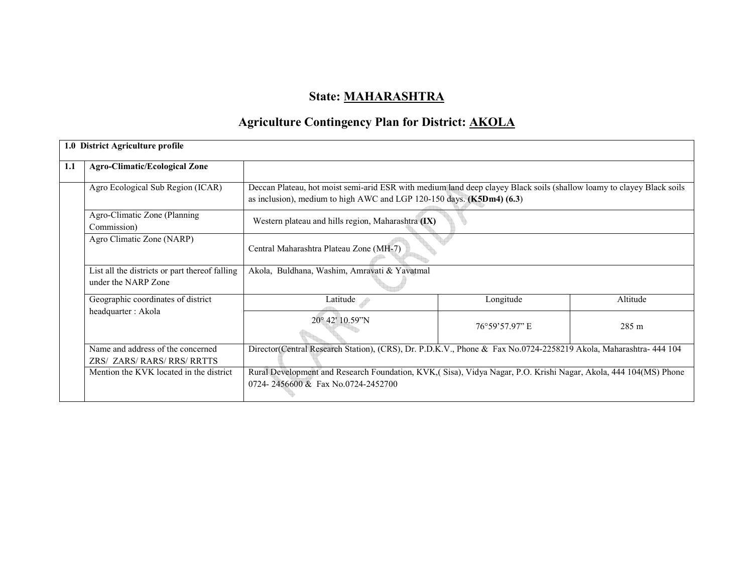## State: MAHARASHTRA

# Agriculture Contingency Plan for District: AKOLA

|     | 1.0 District Agriculture profile                                      |                                                                                                                                                                                                |                |                 |  |  |
|-----|-----------------------------------------------------------------------|------------------------------------------------------------------------------------------------------------------------------------------------------------------------------------------------|----------------|-----------------|--|--|
| 1.1 | <b>Agro-Climatic/Ecological Zone</b>                                  |                                                                                                                                                                                                |                |                 |  |  |
|     | Agro Ecological Sub Region (ICAR)                                     | Deccan Plateau, hot moist semi-arid ESR with medium land deep clayey Black soils (shallow loamy to clayey Black soils<br>as inclusion), medium to high AWC and LGP 120-150 days. (K5Dm4) (6.3) |                |                 |  |  |
|     | Agro-Climatic Zone (Planning<br>Commission)                           | Western plateau and hills region, Maharashtra (IX)                                                                                                                                             |                |                 |  |  |
|     | Agro Climatic Zone (NARP)                                             | Central Maharashtra Plateau Zone (MH-7)                                                                                                                                                        |                |                 |  |  |
|     | List all the districts or part thereof falling<br>under the NARP Zone | Akola, Buldhana, Washim, Amravati & Yavatmal                                                                                                                                                   |                |                 |  |  |
|     | Geographic coordinates of district                                    | Latitude                                                                                                                                                                                       | Longitude      | Altitude        |  |  |
|     | headquarter : Akola                                                   | 20° 42' 10.59"N                                                                                                                                                                                | 76°59'57.97" E | $285 \text{ m}$ |  |  |
|     | Name and address of the concerned<br>ZRS/ ZARS/ RARS/ RRS/ RRTTS      | Director(Central Research Station), (CRS), Dr. P.D.K.V., Phone & Fax No.0724-2258219 Akola, Maharashtra- 444 104                                                                               |                |                 |  |  |
|     | Mention the KVK located in the district                               | Rural Development and Research Foundation, KVK, (Sisa), Vidya Nagar, P.O. Krishi Nagar, Akola, 444 104(MS) Phone<br>0724-2456600 & Fax No.0724-2452700                                         |                |                 |  |  |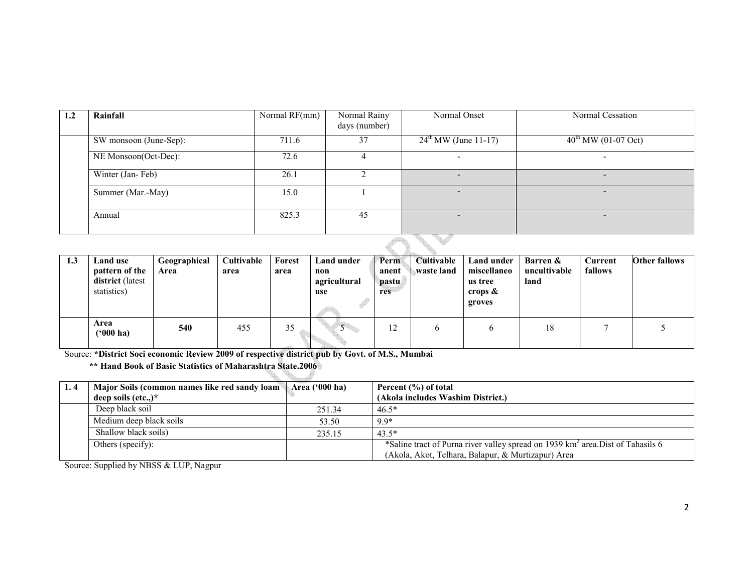| 1.2 | Rainfall               | Normal RF(mm) | Normal Rainy<br>days (number) | Normal Onset              | Normal Cessation                |
|-----|------------------------|---------------|-------------------------------|---------------------------|---------------------------------|
|     | SW monsoon (June-Sep): | 711.6         | 37                            | $24^{th}$ MW (June 11-17) | $40^{\text{th}}$ MW (01-07 Oct) |
|     | NE Monsoon(Oct-Dec):   | 72.6          |                               |                           |                                 |
|     | Winter (Jan-Feb)       | 26.1          |                               |                           |                                 |
|     | Summer (Mar.-May)      | 15.0          |                               |                           | $\overline{\phantom{a}}$        |
|     | Annual                 | 825.3         | 45                            |                           | $\overline{\phantom{a}}$        |

| 1.3 | Land use<br>pattern of the<br>district (latest<br>statistics) | Geographical<br>Area | Cultivable<br>area | Forest<br>area | Land under<br>non<br>agricultural<br>use | Perm<br>anent<br>pastu<br>res | <b>Cultivable</b><br>⊾waste land | Land under<br>miscellaneo<br>us tree<br>crops $\&$<br>groves | <b>Barren &amp;</b><br>uncultivable<br>land | Current<br>fallows | <b>Other fallows</b> |
|-----|---------------------------------------------------------------|----------------------|--------------------|----------------|------------------------------------------|-------------------------------|----------------------------------|--------------------------------------------------------------|---------------------------------------------|--------------------|----------------------|
|     | Area<br>$(900)$ ha)                                           | 540                  | 455                | 35             |                                          | 12                            | O                                | h                                                            | 18                                          |                    |                      |

Source: \*District Soci economic Review 2009 of respective district pub by Govt. of M.S., Mumbai

\*\* Hand Book of Basic Statistics of Maharashtra State.2006

| 1.4 | Major Soils (common names like red sandy loam Area ('000 ha) |        | Percent (%) of total                                                                        |
|-----|--------------------------------------------------------------|--------|---------------------------------------------------------------------------------------------|
|     | deep soils $(\text{etc.})^*$                                 |        | (Akola includes Washim District.)                                                           |
|     | Deep black soil                                              | 251.34 | $46.5*$                                                                                     |
|     | Medium deep black soils                                      | 53.50  | 9.9*                                                                                        |
|     | Shallow black soils)                                         | 235.15 | $43.5*$                                                                                     |
|     | Others (specify):                                            |        | *Saline tract of Purna river valley spread on 1939 km <sup>2</sup> area. Dist of Tahasils 6 |
|     |                                                              |        | (Akola, Akot, Telhara, Balapur, & Murtizapur) Area                                          |

Source: Supplied by NBSS & LUP, Nagpur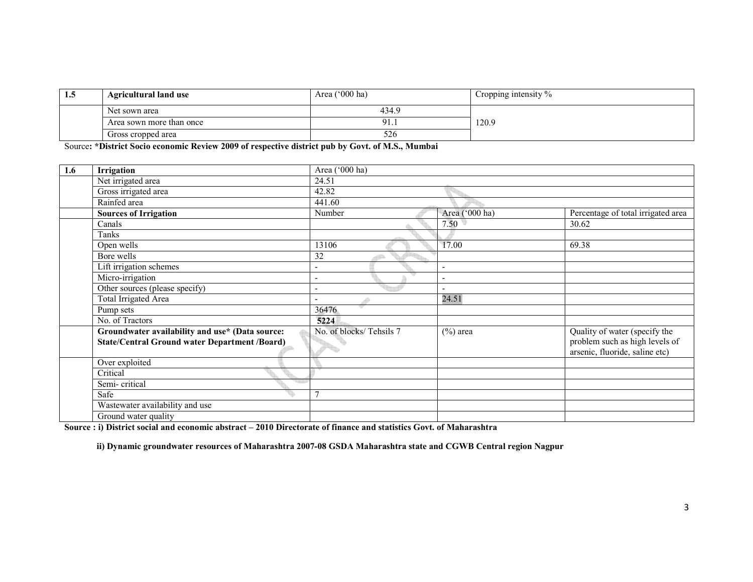| 1.5 | <b>Agricultural land use</b> | Area $('000 ha)$ | Cropping intensity % |
|-----|------------------------------|------------------|----------------------|
|     | Net sown area                | 434.9            |                      |
|     | Area sown more than once     | Q 1<br>.         | 120.9                |
|     | Gross cropped area           | 526              |                      |

Source: \*District Socio economic Review 2009 of respective district pub by Govt. of M.S., Mumbai

| 1.6 | <b>Irrigation</b>                                    | Area ('000 ha)           |                |                                                                  |
|-----|------------------------------------------------------|--------------------------|----------------|------------------------------------------------------------------|
|     | Net irrigated area                                   | 24.51                    |                |                                                                  |
|     | Gross irrigated area                                 | 42.82                    |                |                                                                  |
|     | Rainfed area                                         | 441.60                   |                |                                                                  |
|     | <b>Sources of Irrigation</b>                         | Number                   | Area ('000 ha) | Percentage of total irrigated area                               |
|     | Canals                                               |                          | 7.50           | 30.62                                                            |
|     | Tanks                                                |                          |                |                                                                  |
|     | Open wells                                           | 13106                    | 17.00          | 69.38                                                            |
|     | Bore wells                                           | 32                       |                |                                                                  |
|     | Lift irrigation schemes                              | $\overline{\phantom{a}}$ | ٠              |                                                                  |
|     | Micro-irrigation                                     | $\overline{\phantom{a}}$ |                |                                                                  |
|     | Other sources (please specify)                       | $\overline{\phantom{a}}$ | ۰              |                                                                  |
|     | <b>Total Irrigated Area</b>                          | P                        | 24.51          |                                                                  |
|     | Pump sets                                            | 36476                    |                |                                                                  |
|     | No. of Tractors                                      | 5224                     |                |                                                                  |
|     | Groundwater availability and use* (Data source:      | No. of blocks/Tehsils 7  | $(\%)$ area    | Quality of water (specify the                                    |
|     | <b>State/Central Ground water Department /Board)</b> |                          |                | problem such as high levels of<br>arsenic, fluoride, saline etc) |
|     | Over exploited                                       |                          |                |                                                                  |
|     | Critical                                             |                          |                |                                                                  |
|     | Semi-critical                                        |                          |                |                                                                  |
|     | Safe                                                 |                          |                |                                                                  |
|     | Wastewater availability and use                      |                          |                |                                                                  |
|     | Ground water quality                                 |                          |                |                                                                  |

Source : i) District social and economic abstract – 2010 Directorate of finance and statistics Govt. of Maharashtra

ii) Dynamic groundwater resources of Maharashtra 2007-08 GSDA Maharashtra state and CGWB Central region Nagpur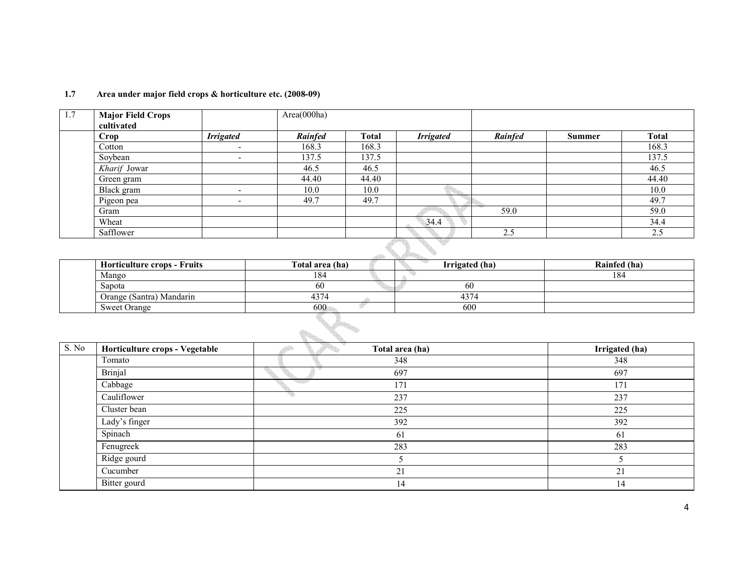| 1.7 | <b>Major Field Crops</b> |                          | Area(000ha) |              |                  |         |        |              |
|-----|--------------------------|--------------------------|-------------|--------------|------------------|---------|--------|--------------|
|     | cultivated               |                          |             |              |                  |         |        |              |
|     | Crop                     | <b>Irrigated</b>         | Rainfed     | <b>Total</b> | <b>Irrigated</b> | Rainfed | Summer | <b>Total</b> |
|     | Cotton                   | $\overline{\phantom{0}}$ | 168.3       | 168.3        |                  |         |        | 168.3        |
|     | Soybean                  | $\overline{\phantom{0}}$ | 137.5       | 137.5        |                  |         |        | 137.5        |
|     | Kharif Jowar             |                          | 46.5        | 46.5         |                  |         |        | 46.5         |
|     | Green gram               |                          | 44.40       | 44.40        |                  |         |        | 44.40        |
|     | Black gram               | -                        | 10.0        | 10.0         |                  |         |        | 10.0         |
|     | Pigeon pea               | $\overline{\phantom{0}}$ | 49.7        | 49.7         |                  |         |        | 49.7         |
|     | Gram                     |                          |             |              |                  | 59.0    |        | 59.0         |
|     | Wheat                    |                          |             |              | 34.4             |         |        | 34.4         |
|     | Safflower                |                          |             |              |                  | 2.5     |        | 2.5          |

#### 1.7 Area under major field crops & horticulture etc. (2008-09)

| <b>Horticulture crops - Fruits</b> | Total area (ha) | Irrigated (ha) | Rainfed (ha) |
|------------------------------------|-----------------|----------------|--------------|
| Mango                              | 184             |                | 184          |
| Sapota                             | 60              | 60             |              |
| Orange (Santra) Mandarin           | 4374            | 4374           |              |
| <b>Sweet Orange</b>                | 600             | 600            |              |

| S. No | Horticulture crops - Vegetable | Total area (ha) | Irrigated (ha) |
|-------|--------------------------------|-----------------|----------------|
|       | Tomato                         | 348             | 348            |
|       | Brinjal                        | 697             | 697            |
|       | Cabbage                        | 171             | 171            |
|       | Cauliflower                    | 237             | 237            |
|       | Cluster bean                   | 225             | 225            |
|       | Lady's finger                  | 392             | 392            |
|       | Spinach                        | 61              | 61             |
|       | Fenugreek                      | 283             | 283            |
|       | Ridge gourd                    |                 |                |
|       | Cucumber                       | 21              | 21             |
|       | Bitter gourd                   | 14              | 14             |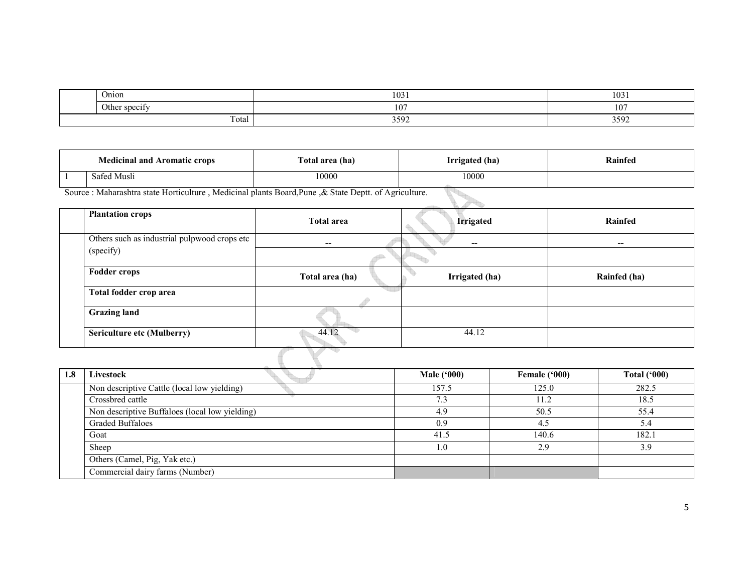|  | Onion                   | 1031 | 102<br>102 I |
|--|-------------------------|------|--------------|
|  | CDQO1<br>Other<br>SUCCI | 107  | 107          |
|  | $\sim$<br>Total         | 3592 | 3592         |

| <b>Medicinal and Aromatic crops</b> |                   | l'otal area (ha) | Irrigated (ha) | Rainfed |
|-------------------------------------|-------------------|------------------|----------------|---------|
|                                     | -Musli<br>- Safec | 10000            | 10000          |         |

Source : Maharashtra state Horticulture , Medicinal plants Board,Pune ,& State Deptt. of Agriculture.

| <b>Plantation crops</b>                      | <b>Total area</b> | <b>Irrigated</b> | Rainfed      |
|----------------------------------------------|-------------------|------------------|--------------|
| Others such as industrial pulpwood crops etc | $- -$             |                  | --           |
| (specify)                                    |                   |                  |              |
| <b>Fodder crops</b>                          | Total area (ha)   | Irrigated (ha)   | Rainfed (ha) |
| Total fodder crop area                       |                   |                  |              |
| <b>Grazing land</b>                          |                   |                  |              |
| <b>Sericulture etc (Mulberry)</b>            | 44.12             | 44.12            |              |
|                                              |                   |                  |              |

| 1.8 | Livestock                                      | <b>Male ('000)</b> | Female ('000) | Total $(900)$ |
|-----|------------------------------------------------|--------------------|---------------|---------------|
|     | Non descriptive Cattle (local low yielding)    | 157.5              | 125.0         | 282.5         |
|     | Crossbred cattle                               | 7.3                | 11.2          | 18.5          |
|     | Non descriptive Buffaloes (local low yielding) | 4.9                | 50.5          | 55.4          |
|     | <b>Graded Buffaloes</b>                        | 0.9                | 4.5           |               |
|     | Goat                                           | 41.5               | 140.6         | 182.1         |
|     | Sheep                                          | -0                 | 2.9           | 39            |
|     | Others (Camel, Pig, Yak etc.)                  |                    |               |               |
|     | Commercial dairy farms (Number)                |                    |               |               |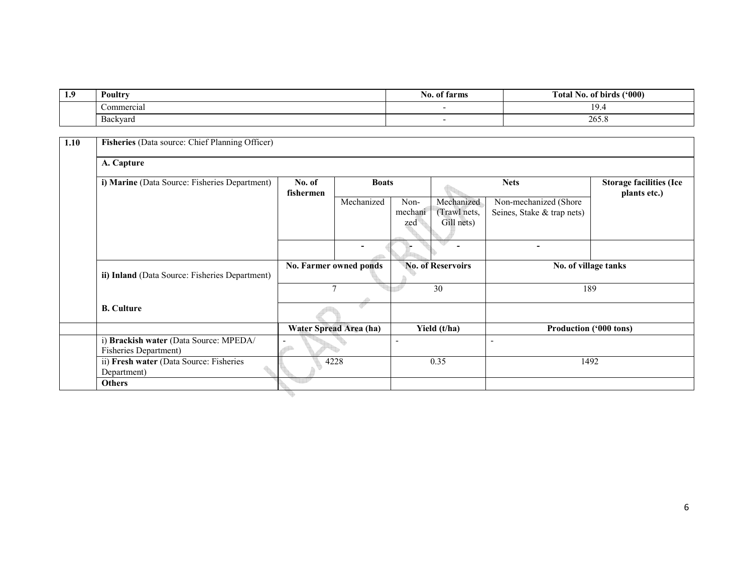| 1.9 | Poultry    | farms<br>N0. 01 | (900)<br><b>Total No. of birds</b> |
|-----|------------|-----------------|------------------------------------|
|     | Commercial |                 |                                    |
|     | Backyard   |                 | 265.8                              |

| A. Capture<br>i) Marine (Data Source: Fisheries Department)<br>No. of<br><b>Boats</b><br><b>Nets</b><br>fishermen<br>Mechanized<br>Mechanized<br>Non-mechanized (Shore<br>Non-<br>Seines, Stake & trap nets)<br>mechani<br>(Trawl nets,<br>Gill nets)<br>zed<br>$\overline{\phantom{0}}$<br><b>No. of Reservoirs</b><br>No. Farmer owned ponds<br>No. of village tanks<br>ii) Inland (Data Source: Fisheries Department)<br>30<br>$\mathcal{L}$<br>189<br>- 97<br><b>B.</b> Culture<br>Water Spread Area (ha)<br>Yield (t/ha)<br><b>Production ('000 tons)</b><br>i) Brackish water (Data Source: MPEDA/<br><b>Fisheries Department)</b><br>ii) Fresh water (Data Source: Fisheries<br>4228<br>0.35<br>1492 | Fisheries (Data source: Chief Planning Officer)<br>1.10 |  |  |  |                                                |  |  |  |  |  |
|-------------------------------------------------------------------------------------------------------------------------------------------------------------------------------------------------------------------------------------------------------------------------------------------------------------------------------------------------------------------------------------------------------------------------------------------------------------------------------------------------------------------------------------------------------------------------------------------------------------------------------------------------------------------------------------------------------------|---------------------------------------------------------|--|--|--|------------------------------------------------|--|--|--|--|--|
|                                                                                                                                                                                                                                                                                                                                                                                                                                                                                                                                                                                                                                                                                                             |                                                         |  |  |  |                                                |  |  |  |  |  |
|                                                                                                                                                                                                                                                                                                                                                                                                                                                                                                                                                                                                                                                                                                             |                                                         |  |  |  | <b>Storage facilities (Ice</b><br>plants etc.) |  |  |  |  |  |
|                                                                                                                                                                                                                                                                                                                                                                                                                                                                                                                                                                                                                                                                                                             |                                                         |  |  |  |                                                |  |  |  |  |  |
|                                                                                                                                                                                                                                                                                                                                                                                                                                                                                                                                                                                                                                                                                                             |                                                         |  |  |  |                                                |  |  |  |  |  |
|                                                                                                                                                                                                                                                                                                                                                                                                                                                                                                                                                                                                                                                                                                             |                                                         |  |  |  |                                                |  |  |  |  |  |
|                                                                                                                                                                                                                                                                                                                                                                                                                                                                                                                                                                                                                                                                                                             |                                                         |  |  |  |                                                |  |  |  |  |  |
|                                                                                                                                                                                                                                                                                                                                                                                                                                                                                                                                                                                                                                                                                                             |                                                         |  |  |  |                                                |  |  |  |  |  |
|                                                                                                                                                                                                                                                                                                                                                                                                                                                                                                                                                                                                                                                                                                             |                                                         |  |  |  |                                                |  |  |  |  |  |
|                                                                                                                                                                                                                                                                                                                                                                                                                                                                                                                                                                                                                                                                                                             |                                                         |  |  |  |                                                |  |  |  |  |  |
|                                                                                                                                                                                                                                                                                                                                                                                                                                                                                                                                                                                                                                                                                                             | Department)                                             |  |  |  |                                                |  |  |  |  |  |
| <b>Others</b>                                                                                                                                                                                                                                                                                                                                                                                                                                                                                                                                                                                                                                                                                               |                                                         |  |  |  |                                                |  |  |  |  |  |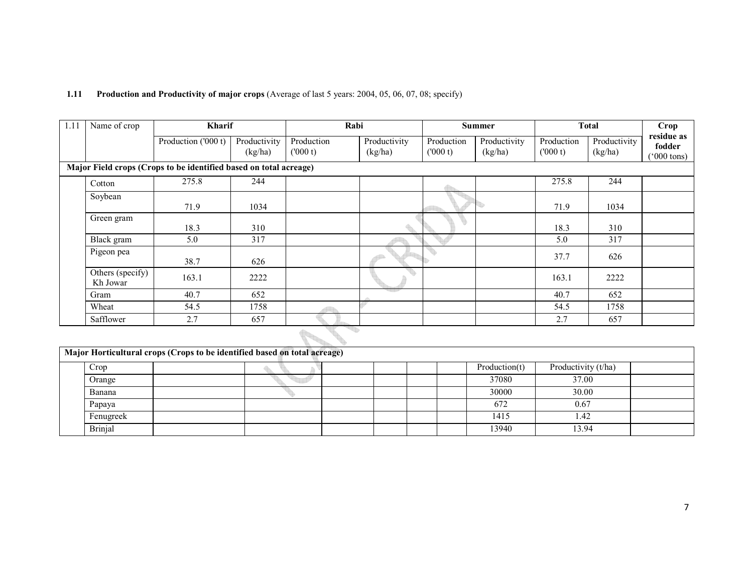| 1.11 | Name of crop                 | Kharif                                                            |                         |                       | Rabi                    |                       | <b>Summer</b>           |                       | <b>Total</b>            | Crop                                  |
|------|------------------------------|-------------------------------------------------------------------|-------------------------|-----------------------|-------------------------|-----------------------|-------------------------|-----------------------|-------------------------|---------------------------------------|
|      |                              | Production ('000 t)                                               | Productivity<br>(kg/ha) | Production<br>(000 t) | Productivity<br>(kg/ha) | Production<br>(000 t) | Productivity<br>(kg/ha) | Production<br>(000 t) | Productivity<br>(kg/ha) | residue as<br>fodder<br>$(°000$ tons) |
|      |                              | Major Field crops (Crops to be identified based on total acreage) |                         |                       |                         |                       |                         |                       |                         |                                       |
|      | Cotton                       | 275.8                                                             | 244                     |                       |                         |                       |                         | 275.8                 | 244                     |                                       |
|      | Soybean                      | 71.9                                                              | 1034                    |                       |                         |                       |                         | 71.9                  | 1034                    |                                       |
|      | Green gram                   | 18.3                                                              | 310                     |                       |                         |                       |                         | 18.3                  | 310                     |                                       |
|      | Black gram                   | 5.0                                                               | 317                     |                       |                         |                       |                         | 5.0                   | 317                     |                                       |
|      | Pigeon pea                   | 38.7                                                              | 626                     |                       |                         |                       |                         | 37.7                  | 626                     |                                       |
|      | Others (specify)<br>Kh Jowar | 163.1                                                             | 2222                    |                       |                         |                       |                         | 163.1                 | 2222                    |                                       |
|      | Gram                         | 40.7                                                              | 652                     |                       | 적 분위기                   |                       |                         | 40.7                  | 652                     |                                       |
|      | Wheat                        | 54.5                                                              | 1758                    |                       |                         |                       |                         | 54.5                  | 1758                    |                                       |
|      | Safflower                    | 2.7                                                               | 657                     |                       |                         |                       |                         | 2.7                   | 657                     |                                       |
|      |                              |                                                                   |                         |                       |                         |                       |                         |                       |                         |                                       |

#### 1.11 Production and Productivity of major crops (Average of last 5 years: 2004, 05, 06, 07, 08; specify)

| Major Horticultural crops (Crops to be identified based on total acreage) |  |  |  |               |                     |  |  |  |  |
|---------------------------------------------------------------------------|--|--|--|---------------|---------------------|--|--|--|--|
| Crop                                                                      |  |  |  | Production(t) | Productivity (t/ha) |  |  |  |  |
| Orange                                                                    |  |  |  | 37080         | 37.00               |  |  |  |  |
| Banana                                                                    |  |  |  | 30000         | 30.00               |  |  |  |  |
| Papaya                                                                    |  |  |  | 672           | 0.67                |  |  |  |  |
| Fenugreek                                                                 |  |  |  | 1415          | l.42                |  |  |  |  |
| Brinjal                                                                   |  |  |  | 13940         | 13.94               |  |  |  |  |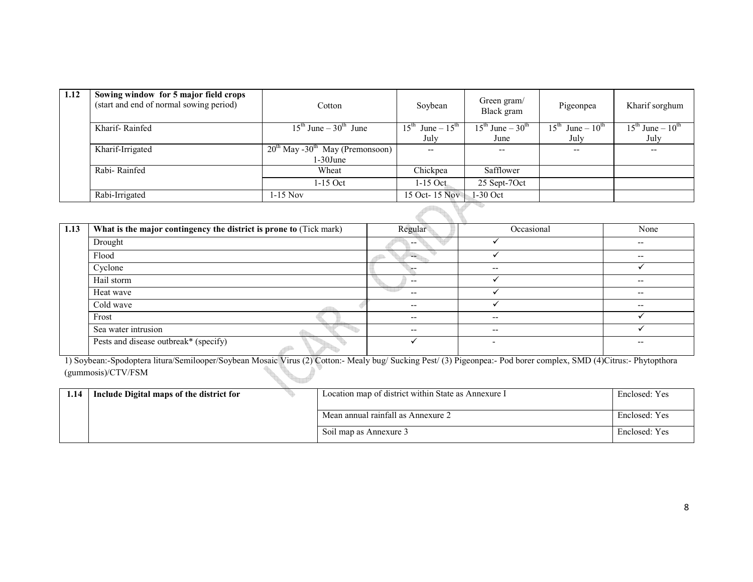| 1.12 | Sowing window for 5 major field crops<br>(start and end of normal sowing period) | Cotton                                           | Soybean                                    | Green gram/<br>Black gram      | Pigeonpea                  | Kharif sorghum           |
|------|----------------------------------------------------------------------------------|--------------------------------------------------|--------------------------------------------|--------------------------------|----------------------------|--------------------------|
|      | Kharif-Rainfed                                                                   | $15^{\text{th}}$ June $-30^{\text{th}}$ June     | June $-15^{\text{th}}$<br>$15^{\text{th}}$ | $15th$ June – 30 <sup>th</sup> | $15^{th}$ June – $10^{th}$ | $15th$ June – $10th$     |
|      |                                                                                  |                                                  | July                                       | June                           | July                       | July                     |
|      | Kharif-Irrigated                                                                 | $20^{th}$ May -30 <sup>th</sup> May (Premonsoon) | $- -$                                      | --                             | --                         | $\overline{\phantom{m}}$ |
|      |                                                                                  | $1-30$ June                                      |                                            |                                |                            |                          |
|      | Rabi-Rainfed                                                                     | Wheat                                            | Chickpea                                   | Safflower                      |                            |                          |
|      |                                                                                  | 1-15 Oct                                         | $1-15$ Oct.                                | 25 Sept-7Oct                   |                            |                          |
|      | Rabi-Irrigated<br>1-15 Nov                                                       |                                                  | 15 Oct- 15 Nov                             | 1-30 Oct                       |                            |                          |
|      |                                                                                  |                                                  |                                            |                                |                            |                          |

| 1.13 | What is the major contingency the district is prone to (Tick mark) | Regular | Occasional | None                     |
|------|--------------------------------------------------------------------|---------|------------|--------------------------|
|      | Drought                                                            | --      |            | $\overline{\phantom{a}}$ |
|      | Flood                                                              |         |            | $\overline{\phantom{a}}$ |
|      | Cyclone                                                            |         | $- -$      |                          |
|      | Hail storm                                                         | $- -$   |            | $\overline{\phantom{a}}$ |
|      | Heat wave                                                          | $- -$   |            | $\overline{\phantom{a}}$ |
|      | Cold wave                                                          | $- -$   |            | $- -$                    |
|      | Frost                                                              | $- -$   | $- -$      |                          |
|      | Sea water intrusion                                                | $- -$   | $- -$      |                          |
|      | Pests and disease outbreak* (specify)                              |         |            | --                       |

1) Soybean:-Spodoptera litura/Semilooper/Soybean Mosaic Virus (2) Cotton:- Mealy bug/ Sucking Pest/ (3) Pigeonpea:- Pod borer complex, SMD (4)Citrus:- Phytopthora (gummosis)/CTV/FSM **Contract Contract Contract Contract Contract Contract Contract Contract Contract Contract Contract Contract C** 

| 1.14 | Include Digital maps of the district for |  | Location map of district within State as Annexure I | Enclosed: Yes |
|------|------------------------------------------|--|-----------------------------------------------------|---------------|
|      |                                          |  | Mean annual rainfall as Annexure 2                  | Enclosed: Yes |
|      |                                          |  | Soil map as Annexure 3                              | Enclosed: Yes |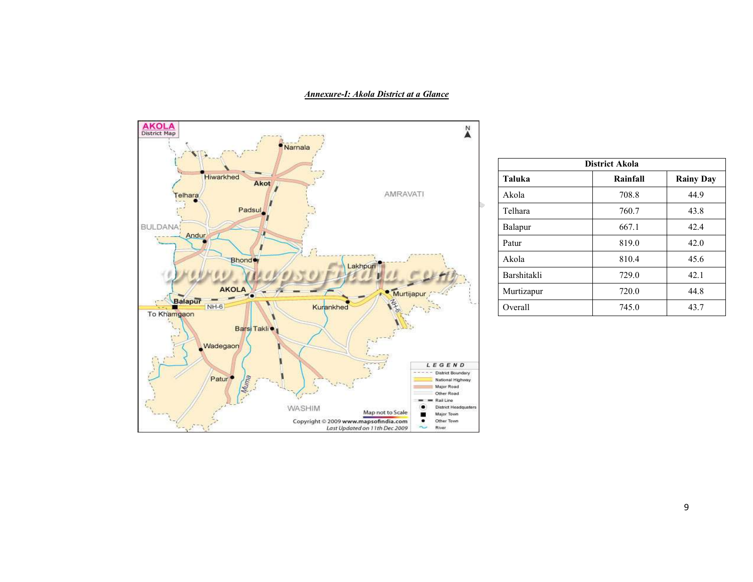#### Annexure-I: Akola District at a Glance



| <b>District Akola</b> |                  |  |  |  |  |  |  |
|-----------------------|------------------|--|--|--|--|--|--|
| Rainfall              | <b>Rainy Day</b> |  |  |  |  |  |  |
| 708.8                 | 44.9             |  |  |  |  |  |  |
| 760.7                 | 43.8             |  |  |  |  |  |  |
| 667.1                 | 42.4             |  |  |  |  |  |  |
| 819.0                 | 42.0             |  |  |  |  |  |  |
| 810.4                 | 45.6             |  |  |  |  |  |  |
| 729.0                 | 42.1             |  |  |  |  |  |  |
| 720.0                 | 44.8             |  |  |  |  |  |  |
| 745.0                 | 43.7             |  |  |  |  |  |  |
|                       |                  |  |  |  |  |  |  |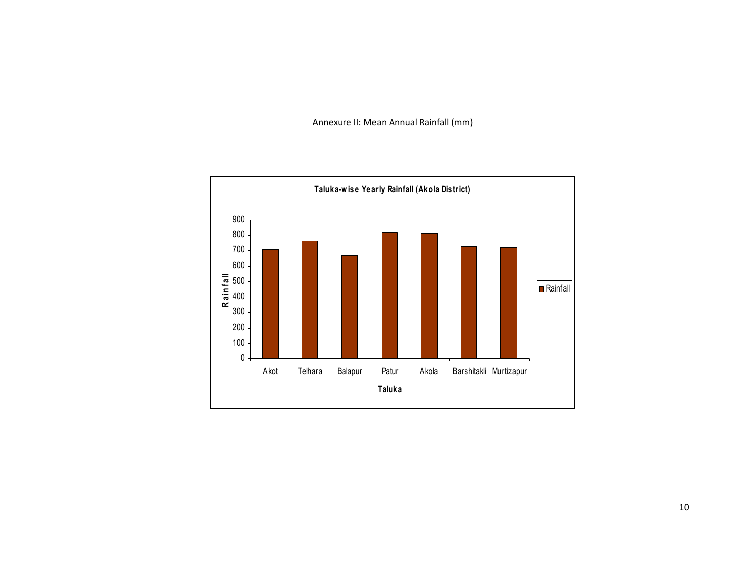Annexure II: Mean Annual Rainfall (mm)

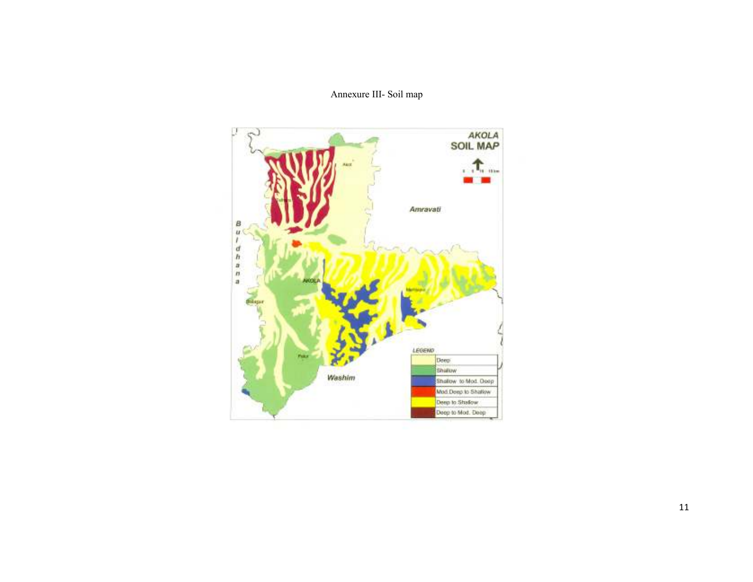### Annexure III- Soil map

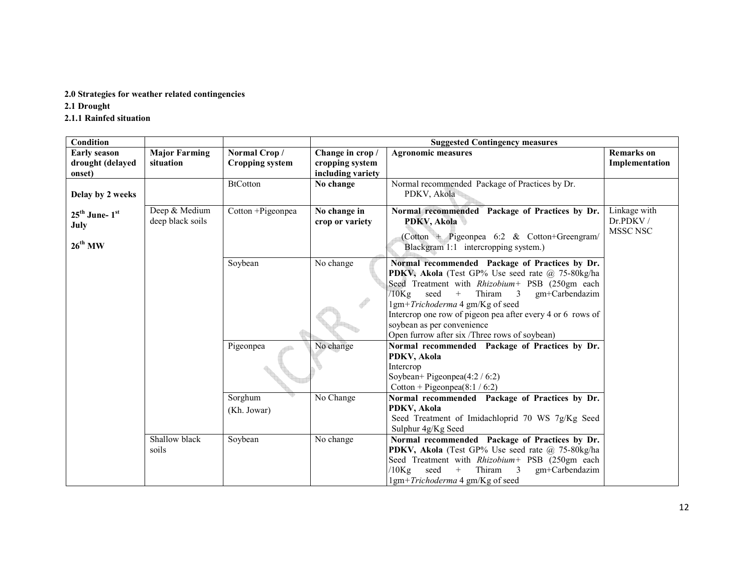#### 2.0 Strategies for weather related contingencies

2.1 Drought

#### 2.1.1 Rainfed situation

| Condition                                                      |                                   |                                        |                                                          | <b>Suggested Contingency measures</b>                                                                                                                                                                                                                                                                                                                                                 |                                      |
|----------------------------------------------------------------|-----------------------------------|----------------------------------------|----------------------------------------------------------|---------------------------------------------------------------------------------------------------------------------------------------------------------------------------------------------------------------------------------------------------------------------------------------------------------------------------------------------------------------------------------------|--------------------------------------|
| <b>Early season</b><br>drought (delayed<br>onset)              | <b>Major Farming</b><br>situation | Normal Crop/<br><b>Cropping system</b> | Change in crop /<br>cropping system<br>including variety | <b>Agronomic measures</b>                                                                                                                                                                                                                                                                                                                                                             | <b>Remarks</b> on<br>Implementation  |
| Delay by 2 weeks                                               |                                   | <b>BtCotton</b>                        | No change                                                | Normal recommended Package of Practices by Dr.<br>PDKV, Akola                                                                                                                                                                                                                                                                                                                         |                                      |
| $25^{\text{th}}$ June- $1^{\text{st}}$<br>July<br>$26^{th}$ MW | Deep & Medium<br>deep black soils | Cotton +Pigeonpea                      | No change in<br>crop or variety                          | Normal recommended Package of Practices by Dr.<br><b>PDKV, Akola</b><br>(Cotton + Pigeonpea 6:2 & Cotton+Greengram/<br>Blackgram 1:1 intercropping system.)                                                                                                                                                                                                                           | Linkage with<br>Dr.PDKV/<br>MSSC NSC |
|                                                                |                                   | Soybean                                | No change                                                | Normal recommended Package of Practices by Dr.<br>PDKV, Akola (Test GP% Use seed rate @ 75-80kg/ha<br>Seed Treatment with Rhizobium+ PSB (250gm each<br>$/10$ Kg seed +<br>Thiram 3<br>gm+Carbendazim<br>1gm+Trichoderma 4 gm/Kg of seed<br>Intercrop one row of pigeon pea after every 4 or 6 rows of<br>soybean as per convenience<br>Open furrow after six /Three rows of soybean) |                                      |
|                                                                |                                   | Pigeonpea<br>Sorghum                   | No change<br>No Change                                   | Normal recommended Package of Practices by Dr.<br>PDKV, Akola<br>Intercrop<br>Soybean+ Pigeonpea $(4:2 / 6:2)$<br>Cotton + Pigeonpea $(8:1 / 6:2)$<br>Normal recommended Package of Practices by Dr.                                                                                                                                                                                  |                                      |
|                                                                |                                   | (Kh. Jowar)                            |                                                          | PDKV, Akola<br>Seed Treatment of Imidachloprid 70 WS 7g/Kg Seed<br>Sulphur 4g/Kg Seed                                                                                                                                                                                                                                                                                                 |                                      |
|                                                                | Shallow black<br>soils            | Soybean                                | No change                                                | Normal recommended Package of Practices by Dr.<br>PDKV, Akola (Test GP% Use seed rate @ 75-80kg/ha<br>Seed Treatment with Rhizobium+ PSB (250gm each<br>$/10Kg$ seed<br>$+$<br>Thiram 3<br>gm+Carbendazim<br>1gm+Trichoderma 4 gm/Kg of seed                                                                                                                                          |                                      |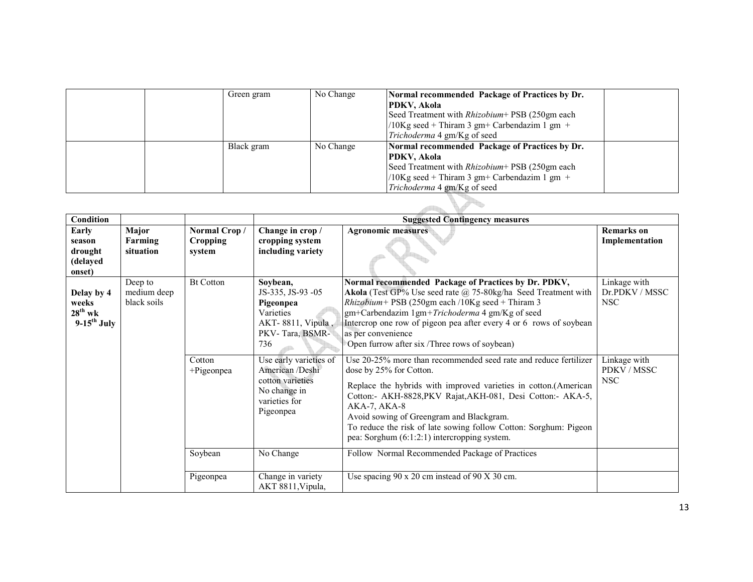|  |  | Green gram | No Change | Normal recommended Package of Practices by Dr.<br>PDKV, Akola<br>Seed Treatment with <i>Rhizobium</i> + PSB (250gm each<br>/10Kg seed + Thiram 3 gm+ Carbendazim 1 gm +<br><i>Trichoderma</i> 4 gm/Kg of seed |  |  |
|--|--|------------|-----------|---------------------------------------------------------------------------------------------------------------------------------------------------------------------------------------------------------------|--|--|
|  |  | Black gram | No Change | Normal recommended Package of Practices by Dr.<br>PDKV, Akola<br>Seed Treatment with <i>Rhizobium</i> + PSB (250gm each<br>/10Kg seed + Thiram 3 gm+ Carbendazim 1 gm +<br>Trichoderma 4 gm/Kg of seed        |  |  |
|  |  |            |           |                                                                                                                                                                                                               |  |  |

| Condition                                                        |                                       |                           |                                                                                                             | <b>Suggested Contingency measures</b>                                                                                                                                                                                                                                                                                                                                                                           |                                              |
|------------------------------------------------------------------|---------------------------------------|---------------------------|-------------------------------------------------------------------------------------------------------------|-----------------------------------------------------------------------------------------------------------------------------------------------------------------------------------------------------------------------------------------------------------------------------------------------------------------------------------------------------------------------------------------------------------------|----------------------------------------------|
| Early                                                            | Major                                 | Normal Crop/              | Change in crop /                                                                                            | <b>Agronomic measures</b>                                                                                                                                                                                                                                                                                                                                                                                       | <b>Remarks</b> on                            |
| season<br>drought<br>(delayed<br>onset)                          | Farming<br>situation                  | <b>Cropping</b><br>system | cropping system<br>including variety                                                                        |                                                                                                                                                                                                                                                                                                                                                                                                                 | Implementation                               |
| Delay by 4<br>weeks<br>$28^{th}$ wk<br>$9-15$ <sup>th</sup> July | Deep to<br>medium deep<br>black soils | <b>Bt Cotton</b>          | Soybean,<br>JS-335, JS-93 -05<br>Pigeonpea<br>Varieties<br>AKT-8811, Vipula,<br>PKV-Tara, BSMR-<br>736      | Normal recommended Package of Practices by Dr. PDKV,<br>Akola (Test GP% Use seed rate @ 75-80kg/ha Seed Treatment with<br><i>Rhizobium</i> + PSB (250gm each /10Kg seed + Thiram 3<br>gm+Carbendazim 1gm+Trichoderma 4 gm/Kg of seed<br>Intercrop one row of pigeon pea after every 4 or 6 rows of soybean<br>as per convenience<br>Open furrow after six /Three rows of soybean)                               | Linkage with<br>Dr.PDKV / MSSC<br><b>NSC</b> |
|                                                                  |                                       | Cotton<br>+Pigeonpea      | Use early varieties of<br>American /Deshi<br>cotton varieties<br>No change in<br>varieties for<br>Pigeonpea | Use 20-25% more than recommended seed rate and reduce fertilizer<br>dose by 25% for Cotton.<br>Replace the hybrids with improved varieties in cotton.(American<br>Cotton:- AKH-8828, PKV Rajat, AKH-081, Desi Cotton:- AKA-5,<br>AKA-7, AKA-8<br>Avoid sowing of Greengram and Blackgram.<br>To reduce the risk of late sowing follow Cotton: Sorghum: Pigeon<br>pea: Sorghum $(6:1:2:1)$ intercropping system. | Linkage with<br>PDKV / MSSC<br><b>NSC</b>    |
|                                                                  |                                       | Soybean                   | No Change                                                                                                   | Follow Normal Recommended Package of Practices                                                                                                                                                                                                                                                                                                                                                                  |                                              |
|                                                                  |                                       | Pigeonpea                 | Change in variety<br>AKT 8811, Vipula,                                                                      | Use spacing $90 \times 20$ cm instead of $90 \times 30$ cm.                                                                                                                                                                                                                                                                                                                                                     |                                              |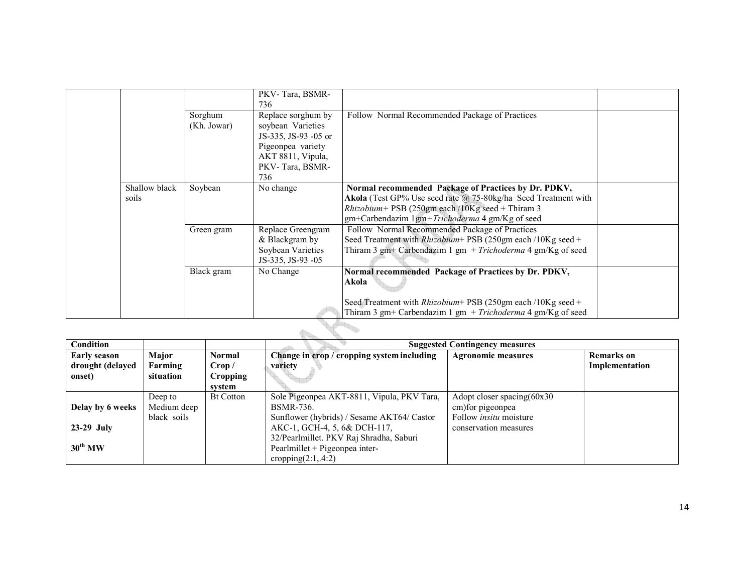|                        |                        | PKV-Tara, BSMR-<br>736                    |                                                                                                                        |  |
|------------------------|------------------------|-------------------------------------------|------------------------------------------------------------------------------------------------------------------------|--|
|                        | Sorghum<br>(Kh. Jowar) | Replace sorghum by<br>soybean Varieties   | Follow Normal Recommended Package of Practices                                                                         |  |
|                        |                        | JS-335, JS-93 -05 or<br>Pigeonpea variety |                                                                                                                        |  |
|                        |                        | AKT 8811, Vipula,<br>PKV-Tara, BSMR-      |                                                                                                                        |  |
|                        |                        | 736                                       |                                                                                                                        |  |
| Shallow black<br>soils | Soybean                | No change                                 | Normal recommended Package of Practices by Dr. PDKV,<br>Akola (Test GP% Use seed rate @ 75-80kg/ha Seed Treatment with |  |
|                        |                        |                                           | <i>Rhizobium</i> + PSB (250gm each /10Kg seed + Thiram 3<br>gm+Carbendazim 1gm+Trichoderma 4 gm/Kg of seed             |  |
|                        | Green gram             | Replace Greengram                         | Follow Normal Recommended Package of Practices                                                                         |  |
|                        |                        | & Blackgram by                            | Seed Treatment with <i>Rhizobium</i> + PSB (250gm each /10Kg seed +                                                    |  |
|                        |                        | Soybean Varieties                         | Thiram 3 gm+ Carbendazim 1 gm + Trichoderma 4 gm/Kg of seed                                                            |  |
|                        |                        | JS-335, JS-93 -05                         |                                                                                                                        |  |
|                        | Black gram             | No Change                                 | Normal recommended Package of Practices by Dr. PDKV,                                                                   |  |
|                        |                        |                                           | Akola                                                                                                                  |  |
|                        |                        |                                           | Seed Treatment with $Rhizobium$ + PSB (250gm each /10Kg seed +                                                         |  |
|                        |                        |                                           | Thiram 3 gm+ Carbendazim 1 gm + Trichoderma 4 gm/Kg of seed                                                            |  |

| <b>Condition</b>    |             |                  |                                            | <b>Suggested Contingency measures</b> |                   |  |  |  |
|---------------------|-------------|------------------|--------------------------------------------|---------------------------------------|-------------------|--|--|--|
| <b>Early season</b> | Major       | <b>Normal</b>    | Change in crop / cropping system including | <b>Agronomic measures</b>             | <b>Remarks</b> on |  |  |  |
| drought (delayed    | Farming     | Crop /           | variety                                    |                                       | Implementation    |  |  |  |
| onset)              | situation   | <b>Cropping</b>  |                                            |                                       |                   |  |  |  |
|                     |             | svstem           |                                            |                                       |                   |  |  |  |
|                     | Deep to     | <b>Bt Cotton</b> | Sole Pigeonpea AKT-8811, Vipula, PKV Tara, | Adopt closer spacing(60x30            |                   |  |  |  |
| Delay by 6 weeks    | Medium deep |                  | <b>BSMR-736.</b>                           | cm) for pigeon pea                    |                   |  |  |  |
|                     | black soils |                  | Sunflower (hybrids) / Sesame AKT64/ Castor | Follow <i>insitu</i> moisture         |                   |  |  |  |
| $23-29$ July        |             |                  | AKC-1, GCH-4, 5, 6& DCH-117,               | conservation measures                 |                   |  |  |  |
|                     |             |                  | 32/Pearlmillet. PKV Raj Shradha, Saburi    |                                       |                   |  |  |  |
| $30^{th}$ MW        |             |                  | Pearlmillet + Pigeonpea inter-             |                                       |                   |  |  |  |
|                     |             |                  | cropping $(2:1, .4:2)$                     |                                       |                   |  |  |  |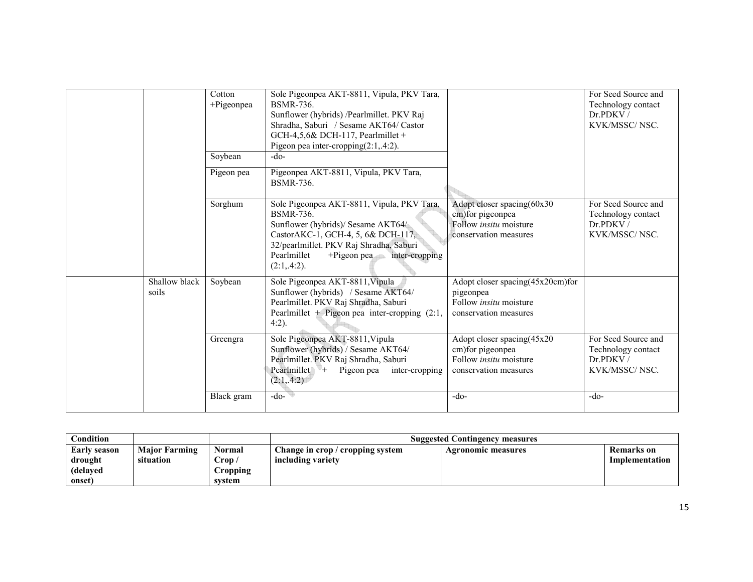|                        | Cotton<br>+Pigeonpea<br>Soybean | Sole Pigeonpea AKT-8811, Vipula, PKV Tara,<br><b>BSMR-736.</b><br>Sunflower (hybrids) /Pearlmillet. PKV Raj<br>Shradha, Saburi / Sesame AKT64/ Castor<br>GCH-4,5,6& DCH-117, Pearlmillet +<br>Pigeon pea inter-cropping $(2:1, 4:2)$ .<br>$-do-$ |                                                                                                           | For Seed Source and<br>Technology contact<br>Dr.PDKV/<br>KVK/MSSC/NSC. |
|------------------------|---------------------------------|--------------------------------------------------------------------------------------------------------------------------------------------------------------------------------------------------------------------------------------------------|-----------------------------------------------------------------------------------------------------------|------------------------------------------------------------------------|
|                        | Pigeon pea                      | Pigeonpea AKT-8811, Vipula, PKV Tara,<br><b>BSMR-736.</b>                                                                                                                                                                                        |                                                                                                           |                                                                        |
|                        | Sorghum                         | Sole Pigeonpea AKT-8811, Vipula, PKV Tara,<br><b>BSMR-736</b><br>Sunflower (hybrids)/ Sesame AKT64/<br>CastorAKC-1, GCH-4, 5, 6& DCH-117,<br>32/pearlmillet. PKV Raj Shradha, Saburi<br>Pearlmillet<br>+Pigeon pea inter-cropping<br>(2:1, 4:2). | Adopt closer spacing(60x30<br>cm) for pigeonpea<br>Follow <i>insitu</i> moisture<br>conservation measures | For Seed Source and<br>Technology contact<br>Dr.PDKV/<br>KVK/MSSC/NSC. |
| Shallow black<br>soils | Soybean                         | Sole Pigeonpea AKT-8811, Vipula<br>Sunflower (hybrids) / Sesame AKT64/<br>Pearlmillet. PKV Raj Shradha, Saburi<br>Pearlmillet + Pigeon pea inter-cropping $(2:1,$<br>$4:2$ ).                                                                    | Adopt closer spacing(45x20cm)for<br>pigeonpea<br>Follow <i>insitu</i> moisture<br>conservation measures   |                                                                        |
|                        | Greengra                        | Sole Pigeonpea AKT-8811, Vipula<br>Sunflower (hybrids) / Sesame AKT64/<br>Pearlmillet. PKV Raj Shradha, Saburi<br>Pearlmillet $+$<br>Pigeon pea<br>inter-cropping<br>(2:1, 4:2)                                                                  | Adopt closer spacing(45x20<br>cm) for pigeonpea<br>Follow <i>insitu</i> moisture<br>conservation measures | For Seed Source and<br>Technology contact<br>Dr.PDKV/<br>KVK/MSSC/NSC. |
|                        | Black gram                      | $-do-$                                                                                                                                                                                                                                           | $-do-$                                                                                                    | $-do-$                                                                 |

| Condition                                     |                                   |                                                  | <b>Suggested Contingency measures</b>                 |                    |                                     |  |
|-----------------------------------------------|-----------------------------------|--------------------------------------------------|-------------------------------------------------------|--------------------|-------------------------------------|--|
| Early season<br>drought<br>(delaved<br>onset) | <b>Major Farming</b><br>situation | Normal<br>$\text{Top}/$<br>$C$ ropping<br>system | Change in crop / cropping system<br>including variety | Agronomic measures | <b>Remarks</b> on<br>Implementation |  |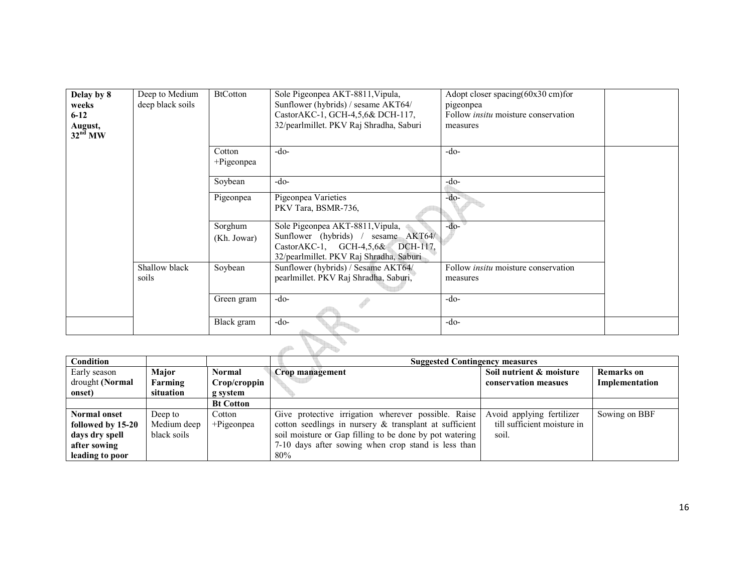| Delay by 8<br>weeks<br>$6 - 12$<br>August,<br>32 <sup>nd</sup> MW | Deep to Medium<br>deep black soils | <b>BtCotton</b>        | Sole Pigeonpea AKT-8811, Vipula,<br>Sunflower (hybrids) / sesame AKT64/<br>CastorAKC-1, GCH-4,5,6& DCH-117,<br>32/pearlmillet. PKV Raj Shradha, Saburi | Adopt closer spacing $(60x30 \text{ cm})$ for<br>pigeonpea<br>Follow <i>insitu</i> moisture conservation<br>measures |  |
|-------------------------------------------------------------------|------------------------------------|------------------------|--------------------------------------------------------------------------------------------------------------------------------------------------------|----------------------------------------------------------------------------------------------------------------------|--|
|                                                                   |                                    | Cotton<br>+Pigeonpea   | $-do-$                                                                                                                                                 | $-do-$                                                                                                               |  |
|                                                                   |                                    | Soybean                | $-do-$                                                                                                                                                 | $-do-$                                                                                                               |  |
|                                                                   |                                    | Pigeonpea              | Pigeonpea Varieties<br>PKV Tara, BSMR-736,                                                                                                             | $-do-$                                                                                                               |  |
|                                                                   |                                    | Sorghum<br>(Kh. Jowar) | Sole Pigeonpea AKT-8811, Vipula,<br>Sunflower (hybrids) / sesame AKT64/<br>CastorAKC-1, GCH-4,5,6& DCH-117,<br>32/pearlmillet. PKV Raj Shradha, Saburi | $-do-$                                                                                                               |  |
|                                                                   | Shallow black<br>soils             | Soybean                | Sunflower (hybrids) / Sesame AKT64/<br>pearlmillet. PKV Raj Shradha, Saburi,                                                                           | Follow <i>insitu</i> moisture conservation<br>measures                                                               |  |
|                                                                   |                                    | Green gram             | $-do-$                                                                                                                                                 | $-do-$                                                                                                               |  |
|                                                                   |                                    | Black gram             | $-do-$                                                                                                                                                 | $-do-$                                                                                                               |  |

| <b>Condition</b>    |             |                  | <b>Suggested Contingency measures</b>                   |                             |                   |  |  |  |  |
|---------------------|-------------|------------------|---------------------------------------------------------|-----------------------------|-------------------|--|--|--|--|
| Early season        | Major       | <b>Normal</b>    | Crop management                                         | Soil nutrient & moisture    | <b>Remarks</b> on |  |  |  |  |
| drought (Normal     | Farming     | Crop/croppin     |                                                         | conservation measues        | Implementation    |  |  |  |  |
| onset)              | situation   | g system         |                                                         |                             |                   |  |  |  |  |
|                     |             | <b>Bt Cotton</b> |                                                         |                             |                   |  |  |  |  |
| <b>Normal onset</b> | Deep to     | Cotton           | Give protective irrigation wherever possible. Raise     | Avoid applying fertilizer   | Sowing on BBF     |  |  |  |  |
| followed by 15-20   | Medium deep | $+$ Pigeonpea    | cotton seedlings in nursery & transplant at sufficient  | till sufficient moisture in |                   |  |  |  |  |
| days dry spell      | black soils |                  | soil moisture or Gap filling to be done by pot watering | soil.                       |                   |  |  |  |  |
| after sowing        |             |                  | 7-10 days after sowing when crop stand is less than     |                             |                   |  |  |  |  |
| leading to poor     |             |                  | 80%                                                     |                             |                   |  |  |  |  |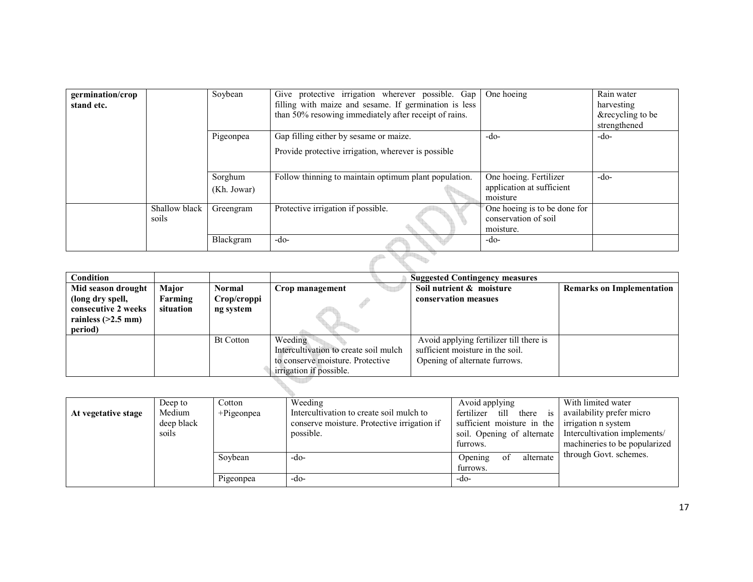| germination/crop<br>stand etc. |                        | Soybean                | Give protective irrigation wherever possible. Gap<br>filling with maize and sesame. If germination is less<br>than 50% resowing immediately after receipt of rains. | One hoeing                                                        | Rain water<br>harvesting<br>&recycling to be<br>strengthened |
|--------------------------------|------------------------|------------------------|---------------------------------------------------------------------------------------------------------------------------------------------------------------------|-------------------------------------------------------------------|--------------------------------------------------------------|
|                                |                        | Pigeonpea              | Gap filling either by sesame or maize.<br>Provide protective irrigation, wherever is possible                                                                       | $-do-$                                                            | $-do-$                                                       |
|                                |                        | Sorghum<br>(Kh. Jowar) | Follow thinning to maintain optimum plant population.                                                                                                               | One hoeing. Fertilizer<br>application at sufficient<br>moisture   | $-do-$                                                       |
|                                | Shallow black<br>soils | Greengram              | Protective irrigation if possible.                                                                                                                                  | One hoeing is to be done for<br>conservation of soil<br>moisture. |                                                              |
|                                |                        | Blackgram              | $-do-$                                                                                                                                                              | $-do-$                                                            |                                                              |
|                                |                        |                        |                                                                                                                                                                     |                                                                   |                                                              |

| <b>Condition</b>     |              |                  | <b>Suggested Contingency measures</b> |                                         |                                  |  |  |
|----------------------|--------------|------------------|---------------------------------------|-----------------------------------------|----------------------------------|--|--|
| Mid season drought   | <b>Major</b> | Normal           | Crop management                       | Soil nutrient & moisture                | <b>Remarks on Implementation</b> |  |  |
| (long dry spell,     | Farming      | Crop/croppi      |                                       | conservation measues                    |                                  |  |  |
| consecutive 2 weeks  | situation    | ng system        |                                       |                                         |                                  |  |  |
| rainless $(>2.5$ mm) |              |                  |                                       |                                         |                                  |  |  |
| period)              |              |                  |                                       |                                         |                                  |  |  |
|                      |              | <b>Bt Cotton</b> | Weeding                               | Avoid applying fertilizer till there is |                                  |  |  |
|                      |              |                  | Intercultivation to create soil mulch | sufficient moisture in the soil.        |                                  |  |  |
|                      |              |                  | to conserve moisture. Protective      | Opening of alternate furrows.           |                                  |  |  |
|                      |              |                  | irrigation if possible.               |                                         |                                  |  |  |

| At vegetative stage | Deep to<br>Medium<br>deep black<br>soils | Cotton<br>$+$ Pigeonpea | Weeding<br>Intercultivation to create soil mulch to<br>conserve moisture. Protective irrigation if<br>possible. | Avoid applying<br>fertilizer till there is availability prefer micro<br>sufficient moisture in the<br>soil. Opening of alternate | With limited water<br>irrigation n system<br>Intercultivation implements/ |
|---------------------|------------------------------------------|-------------------------|-----------------------------------------------------------------------------------------------------------------|----------------------------------------------------------------------------------------------------------------------------------|---------------------------------------------------------------------------|
|                     |                                          |                         |                                                                                                                 | furrows.                                                                                                                         | machineries to be popularized                                             |
|                     |                                          | Soybean                 | -do-                                                                                                            | alternate<br>Opening<br>οt<br>furrows.                                                                                           | through Govt. schemes.                                                    |
|                     |                                          | Pigeonpea               | -do-                                                                                                            | $-dO$                                                                                                                            |                                                                           |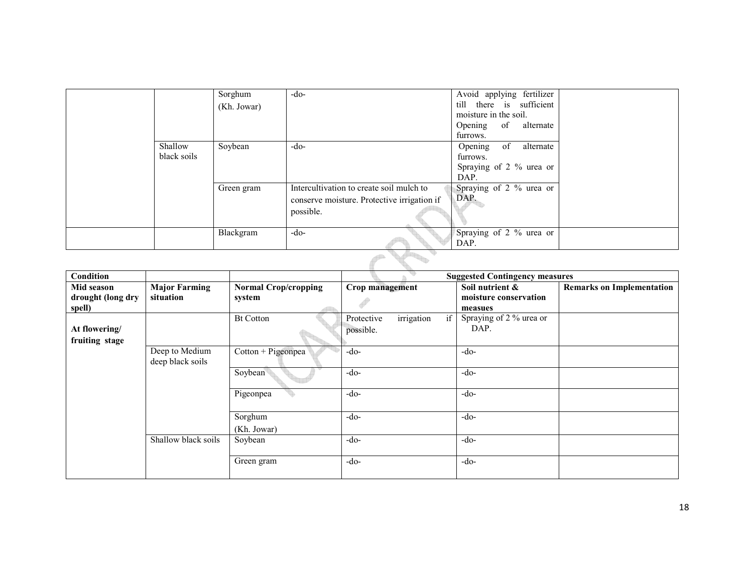|                        | Sorghum<br>(Kh. Jowar) | $-do-$                                                                                               | Avoid applying fertilizer<br>till there is sufficient<br>moisture in the soil.<br>Opening<br>of<br>alternate<br>furrows. |  |  |  |  |  |
|------------------------|------------------------|------------------------------------------------------------------------------------------------------|--------------------------------------------------------------------------------------------------------------------------|--|--|--|--|--|
| Shallow<br>black soils | Soybean                | $-do-$                                                                                               | of<br>alternate<br>Opening<br>furrows.<br>Spraying of 2 % urea or<br>DAP.                                                |  |  |  |  |  |
|                        | Green gram             | Intercultivation to create soil mulch to<br>conserve moisture. Protective irrigation if<br>possible. | Spraying of 2 % urea or<br>DAP.                                                                                          |  |  |  |  |  |
|                        | Blackgram              | $-do-$                                                                                               | Spraying of 2 % urea or<br>DAP.                                                                                          |  |  |  |  |  |
|                        |                        |                                                                                                      |                                                                                                                          |  |  |  |  |  |

| Condition         |                                    |                             | q,                             | <b>Suggested Contingency measures</b> |                                  |
|-------------------|------------------------------------|-----------------------------|--------------------------------|---------------------------------------|----------------------------------|
| Mid season        | <b>Major Farming</b>               | <b>Normal Crop/cropping</b> | Crop management                | Soil nutrient &                       | <b>Remarks on Implementation</b> |
| drought (long dry | situation                          | system                      |                                | moisture conservation                 |                                  |
| spell)            |                                    |                             |                                | measues                               |                                  |
|                   |                                    | <b>Bt Cotton</b>            | irrigation<br>if<br>Protective | Spraying of 2 % urea or               |                                  |
| At flowering/     |                                    |                             | possible.                      | DAP.                                  |                                  |
| fruiting stage    |                                    |                             |                                |                                       |                                  |
|                   | Deep to Medium<br>deep black soils | Cotton + Pigeonpea          | -do-                           | $-do-$                                |                                  |
|                   |                                    | Soybean                     | $-do-$                         | $-do-$                                |                                  |
|                   |                                    | Pigeonpea                   | $-do-$                         | $-do-$                                |                                  |
|                   |                                    | Sorghum                     | $-do-$                         | $-do-$                                |                                  |
|                   |                                    | (Kh. Jowar)                 |                                |                                       |                                  |
|                   | Shallow black soils                | Soybean                     | $-do-$                         | $-do-$                                |                                  |
|                   |                                    | Green gram                  | $-do-$                         | $-do-$                                |                                  |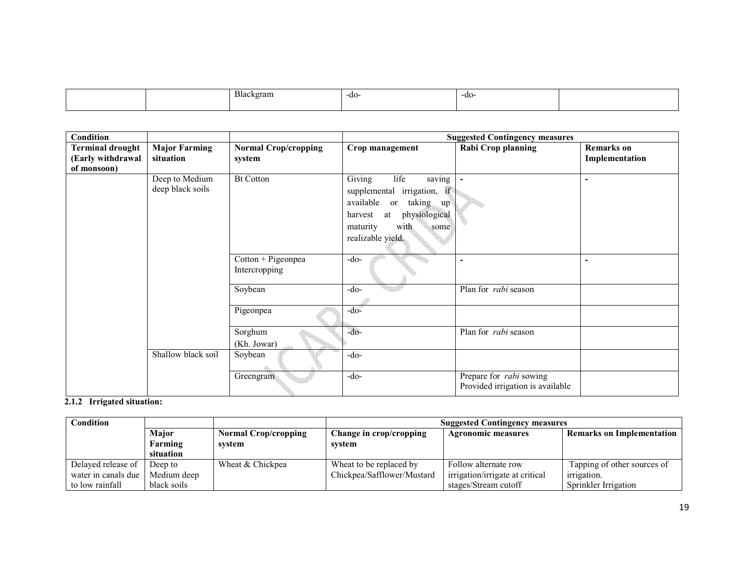|  | <b>Blackers</b><br>котат<br>. . | -do- | -do- |  |
|--|---------------------------------|------|------|--|
|  |                                 |      |      |  |

| Condition                                                   |                                    |                                       |                                                                                                                                                                                                     | <b>Suggested Contingency measures</b>                              |                                     |
|-------------------------------------------------------------|------------------------------------|---------------------------------------|-----------------------------------------------------------------------------------------------------------------------------------------------------------------------------------------------------|--------------------------------------------------------------------|-------------------------------------|
| <b>Terminal drought</b><br>(Early withdrawal<br>of monsoon) | <b>Major Farming</b><br>situation  | <b>Normal Crop/cropping</b><br>system | Crop management                                                                                                                                                                                     | Rabi Crop planning                                                 | <b>Remarks</b> on<br>Implementation |
|                                                             | Deep to Medium<br>deep black soils | <b>Bt Cotton</b>                      | $\overline{G}$ iving<br>life<br>saving<br>supplemental irrigation, if<br>available<br>taking up<br><sub>or</sub><br>physiological<br>at<br>harvest<br>maturity<br>with<br>some<br>realizable yield. |                                                                    |                                     |
|                                                             |                                    | Cotton + Pigeonpea<br>Intercropping   | $-do-$                                                                                                                                                                                              | ٠                                                                  |                                     |
|                                                             |                                    | Soybean                               | $-do-$                                                                                                                                                                                              | Plan for <i>rabi</i> season                                        |                                     |
|                                                             |                                    | Pigeonpea                             | $-do$ -                                                                                                                                                                                             |                                                                    |                                     |
|                                                             |                                    | Sorghum<br>(Kh. Jowar)                | $-do-$                                                                                                                                                                                              | Plan for <i>rabi</i> season                                        |                                     |
|                                                             | Shallow black soil                 | Soybean                               | -do-                                                                                                                                                                                                |                                                                    |                                     |
|                                                             |                                    | Greengram                             | $-do-$                                                                                                                                                                                              | Prepare for <i>rabi</i> sowing<br>Provided irrigation is available |                                     |

#### 2.1.2 Irrigated situation:

| Condition           |             |                             | <b>Suggested Contingency measures</b> |                                 |                                  |  |
|---------------------|-------------|-----------------------------|---------------------------------------|---------------------------------|----------------------------------|--|
|                     | Major       | <b>Normal Crop/cropping</b> | Change in crop/cropping               | <b>Agronomic measures</b>       | <b>Remarks on Implementation</b> |  |
|                     | Farming     | system                      | system                                |                                 |                                  |  |
|                     | situation   |                             |                                       |                                 |                                  |  |
| Delayed release of  | Deep to     | Wheat & Chickpea            | Wheat to be replaced by               | Follow alternate row            | Tapping of other sources of      |  |
| water in canals due | Medium deep |                             | Chickpea/Safflower/Mustard            | irrigation/irrigate at critical | <i>irrigation.</i>               |  |
| to low rainfall     | black soils |                             |                                       | stages/Stream cutoff            | Sprinkler Irrigation             |  |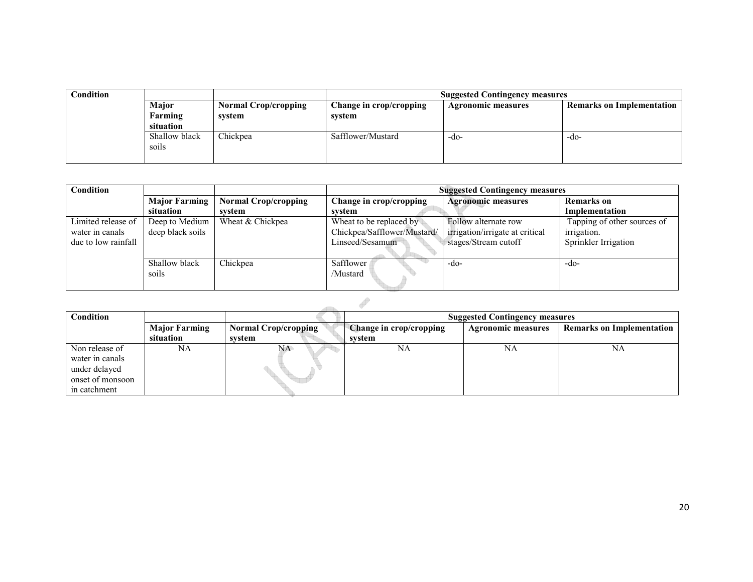| <b>Condition</b> |                        |                             | <b>Suggested Contingency measures</b> |                           |                                  |  |
|------------------|------------------------|-----------------------------|---------------------------------------|---------------------------|----------------------------------|--|
|                  | Major                  | <b>Normal Crop/cropping</b> | Change in crop/cropping               | <b>Agronomic measures</b> | <b>Remarks on Implementation</b> |  |
|                  | Farming                | system                      | system                                |                           |                                  |  |
|                  | situation              |                             |                                       |                           |                                  |  |
|                  | Shallow black<br>soils | Chickpea                    | Safflower/Mustard                     | -do-                      | -do-                             |  |
|                  |                        |                             |                                       |                           |                                  |  |

| Condition           |                      |                             | <b>Suggested Contingency measures</b> |                                 |                             |
|---------------------|----------------------|-----------------------------|---------------------------------------|---------------------------------|-----------------------------|
|                     | <b>Major Farming</b> | <b>Normal Crop/cropping</b> | Change in crop/cropping               | <b>Agronomic measures</b>       | <b>Remarks</b> on           |
|                     | situation            | system                      | system                                |                                 | Implementation              |
| Limited release of  | Deep to Medium       | Wheat & Chickpea            | Wheat to be replaced by               | Follow alternate row            | Tapping of other sources of |
| water in canals     | deep black soils     |                             | Chickpea/Safflower/Mustard/           | irrigation/irrigate at critical | <i>irrigation.</i>          |
| due to low rainfall |                      |                             | Linseed/Sesamum                       | stages/Stream cutoff            | Sprinkler Irrigation        |
|                     |                      |                             |                                       |                                 |                             |
|                     | Shallow black        | Chickpea                    | Safflower                             | -do-                            | -do-                        |
|                     | soils                |                             | /Mustard                              |                                 |                             |
|                     |                      |                             |                                       |                                 |                             |

| Condition                                                                              |                                   |                                       | <b>Suggested Contingency measures</b>    |                           |                                  |
|----------------------------------------------------------------------------------------|-----------------------------------|---------------------------------------|------------------------------------------|---------------------------|----------------------------------|
|                                                                                        | <b>Major Farming</b><br>situation | <b>Normal Crop/cropping</b><br>svstem | <b>Change in crop/cropping</b><br>system | <b>Agronomic measures</b> | <b>Remarks on Implementation</b> |
| Non release of<br>water in canals<br>under delayed<br>onset of monsoon<br>in catchment | NA                                | NA.                                   | NA                                       | NA                        | NA                               |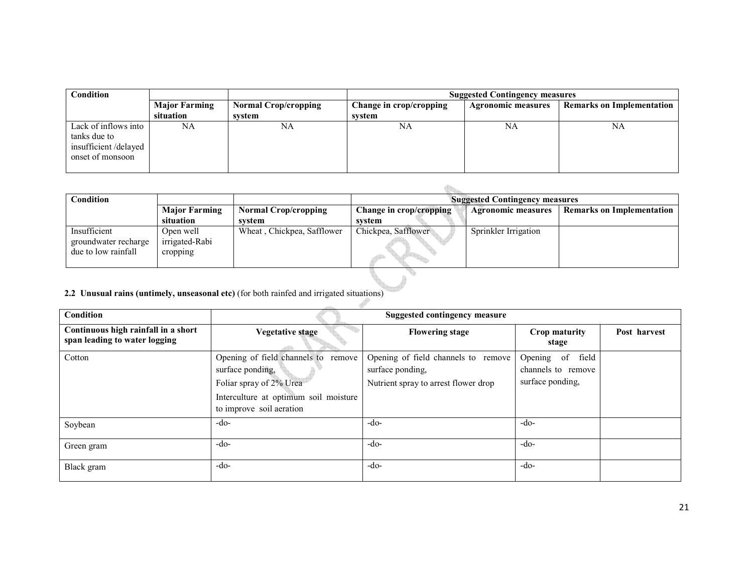| Condition                                                                        |                      |                             | <b>Suggested Contingency measures</b> |                           |                                  |  |
|----------------------------------------------------------------------------------|----------------------|-----------------------------|---------------------------------------|---------------------------|----------------------------------|--|
|                                                                                  | <b>Major Farming</b> | <b>Normal Crop/cropping</b> | Change in crop/cropping               | <b>Agronomic measures</b> | <b>Remarks on Implementation</b> |  |
|                                                                                  | situation            | system                      | system                                |                           |                                  |  |
| Lack of inflows into<br>tanks due to<br>insufficient/delayed<br>onset of monsoon | NA                   | NA                          | NA                                    | NA                        | NA                               |  |

| Condition                                                   |                                         |                             | <b>Suggested Contingency measures</b> |                           |                                  |
|-------------------------------------------------------------|-----------------------------------------|-----------------------------|---------------------------------------|---------------------------|----------------------------------|
|                                                             | <b>Major Farming</b>                    | <b>Normal Crop/cropping</b> | Change in crop/cropping               | <b>Agronomic measures</b> | <b>Remarks on Implementation</b> |
|                                                             | situation                               | svstem                      | svstem                                |                           |                                  |
| Insufficient<br>groundwater recharge<br>due to low rainfall | Open well<br>irrigated-Rabi<br>cropping | Wheat, Chickpea, Safflower  | Chickpea, Safflower                   | Sprinkler Irrigation      |                                  |
|                                                             |                                         |                             |                                       |                           |                                  |

 $\overline{a}$ 

#### 2.2 Unusual rains (untimely, unseasonal etc) (for both rainfed and irrigated situations)

| Condition                                                            |                                                                                                                                                            | <b>Suggested contingency measure</b>                                                            |                                                            |              |
|----------------------------------------------------------------------|------------------------------------------------------------------------------------------------------------------------------------------------------------|-------------------------------------------------------------------------------------------------|------------------------------------------------------------|--------------|
| Continuous high rainfall in a short<br>span leading to water logging | <b>Vegetative stage</b>                                                                                                                                    | <b>Flowering stage</b>                                                                          | Crop maturity<br>stage                                     | Post harvest |
| Cotton                                                               | Opening of field channels to<br>remove<br>surface ponding,<br>Foliar spray of 2% Urea<br>Interculture at optimum soil moisture<br>to improve soil aeration | Opening of field channels to remove<br>surface ponding,<br>Nutrient spray to arrest flower drop | Opening of field<br>channels to remove<br>surface ponding, |              |
| Soybean                                                              | $-do-$                                                                                                                                                     | $-do-$                                                                                          | $-do-$                                                     |              |
| Green gram                                                           | $-do-$                                                                                                                                                     | $-do-$                                                                                          | $-do-$                                                     |              |
| Black gram                                                           | $-do-$                                                                                                                                                     | $-do-$                                                                                          | $-do-$                                                     |              |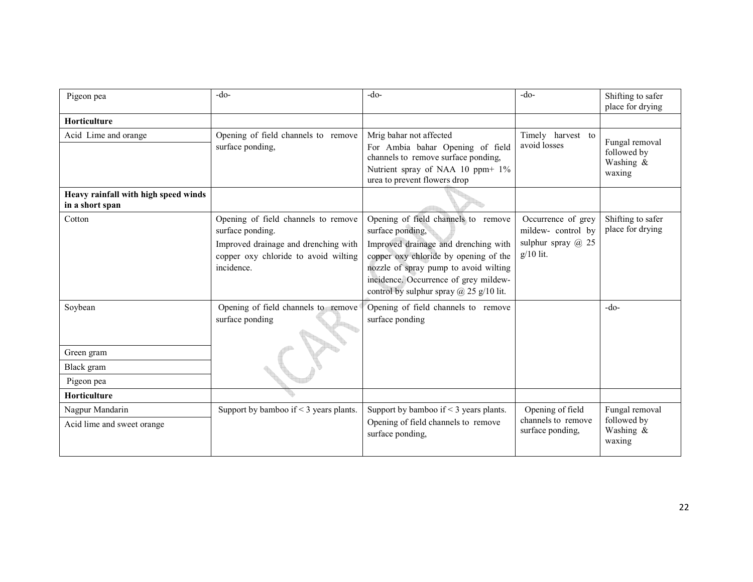| Pigeon pea                                              | $-do-$                                                                                                                                                | $-do-$                                                                                                                                                                                                                                                                       | $-do-$                                                                       | Shifting to safer<br>place for drying                |
|---------------------------------------------------------|-------------------------------------------------------------------------------------------------------------------------------------------------------|------------------------------------------------------------------------------------------------------------------------------------------------------------------------------------------------------------------------------------------------------------------------------|------------------------------------------------------------------------------|------------------------------------------------------|
| <b>Horticulture</b>                                     |                                                                                                                                                       |                                                                                                                                                                                                                                                                              |                                                                              |                                                      |
| Acid Lime and orange                                    | Opening of field channels to remove<br>surface ponding,                                                                                               | Mrig bahar not affected<br>For Ambia bahar Opening of field<br>channels to remove surface ponding,<br>Nutrient spray of NAA 10 ppm+ 1%<br>urea to prevent flowers drop                                                                                                       | Timely harvest to<br>avoid losses                                            | Fungal removal<br>followed by<br>Washing &<br>waxing |
| Heavy rainfall with high speed winds<br>in a short span |                                                                                                                                                       |                                                                                                                                                                                                                                                                              |                                                                              |                                                      |
| Cotton                                                  | Opening of field channels to remove<br>surface ponding.<br>Improved drainage and drenching with<br>copper oxy chloride to avoid wilting<br>incidence. | Opening of field channels to remove<br>surface ponding,<br>Improved drainage and drenching with<br>copper oxy chloride by opening of the<br>nozzle of spray pump to avoid wilting<br>incidence. Occurrence of grey mildew-<br>control by sulphur spray $\omega$ 25 g/10 lit. | Occurrence of grey<br>mildew-control by<br>sulphur spray @ 25<br>$g/10$ lit. | Shifting to safer<br>place for drying                |
| Soybean                                                 | Opening of field channels to remove<br>surface ponding                                                                                                | Opening of field channels to remove<br>surface ponding                                                                                                                                                                                                                       |                                                                              | $-do-$                                               |
| Green gram                                              |                                                                                                                                                       |                                                                                                                                                                                                                                                                              |                                                                              |                                                      |
| Black gram                                              |                                                                                                                                                       |                                                                                                                                                                                                                                                                              |                                                                              |                                                      |
| Pigeon pea                                              |                                                                                                                                                       |                                                                                                                                                                                                                                                                              |                                                                              |                                                      |
| Horticulture                                            |                                                                                                                                                       |                                                                                                                                                                                                                                                                              |                                                                              |                                                      |
| Nagpur Mandarin<br>Acid lime and sweet orange           | Support by bamboo if $\leq$ 3 years plants.                                                                                                           | Support by bamboo if $\leq$ 3 years plants.<br>Opening of field channels to remove<br>surface ponding,                                                                                                                                                                       | Opening of field<br>channels to remove<br>surface ponding,                   | Fungal removal<br>followed by<br>Washing &<br>waxing |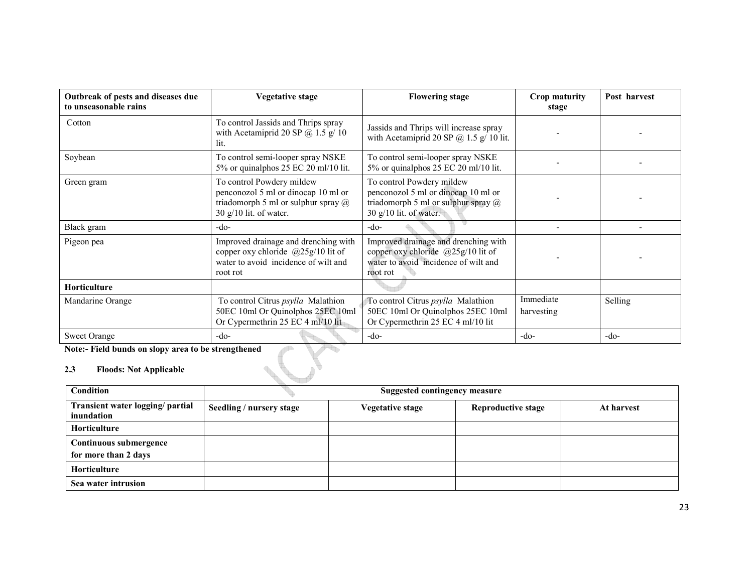| Outbreak of pests and diseases due<br>to unseasonable rains | <b>Vegetative stage</b>                                                                                                                    | <b>Flowering stage</b>                                                                                                              | Crop maturity<br>stage  | Post harvest |
|-------------------------------------------------------------|--------------------------------------------------------------------------------------------------------------------------------------------|-------------------------------------------------------------------------------------------------------------------------------------|-------------------------|--------------|
| Cotton                                                      | To control Jassids and Thrips spray<br>with Acetamiprid 20 SP $\omega$ 1.5 g/ 10<br>lit.                                                   | Jassids and Thrips will increase spray<br>with Acetamiprid 20 SP $@$ 1.5 g/ 10 lit.                                                 |                         |              |
| Soybean                                                     | To control semi-looper spray NSKE<br>5% or quinalphos 25 EC 20 ml/10 lit.                                                                  | To control semi-looper spray NSKE<br>5% or quinalphos 25 EC 20 ml/10 lit.                                                           |                         |              |
| Green gram                                                  | To control Powdery mildew<br>penconozol 5 ml or dinocap 10 ml or<br>triadomorph 5 ml or sulphur spray $\omega$<br>30 $g/10$ lit. of water. | To control Powdery mildew<br>penconozol 5 ml or dinocap 10 ml or<br>triadomorph 5 ml or sulphur spray @<br>30 $g/10$ lit. of water. |                         |              |
| Black gram                                                  | -do-                                                                                                                                       | $-do-$                                                                                                                              |                         |              |
| Pigeon pea                                                  | Improved drainage and drenching with<br>copper oxy chloride $@25g/10$ lit of<br>water to avoid incidence of wilt and<br>root rot           | Improved drainage and drenching with<br>copper oxy chloride $(225g/10)$ lit of<br>water to avoid incidence of wilt and<br>root rot  |                         |              |
| <b>Horticulture</b>                                         |                                                                                                                                            |                                                                                                                                     |                         |              |
| Mandarine Orange                                            | To control Citrus <i>psylla</i> Malathion<br>50EC 10ml Or Quinolphos 25EC 10ml<br>Or Cypermethrin 25 EC 4 ml/10 lit                        | To control Citrus <i>psylla</i> Malathion<br>50EC 10ml Or Quinolphos 25EC 10ml<br>Or Cypermethrin 25 EC 4 ml/10 lit                 | Immediate<br>harvesting | Selling      |
| <b>Sweet Orange</b>                                         | $-do-$                                                                                                                                     | $-do-$                                                                                                                              | $-do-$                  | $-do-$       |

Note:- Field bunds on slopy area to be strengthened

#### 2.3 Floods: Not Applicable

| 2.3<br><b>Floods: Not Applicable</b>           |                          |                                      |                           |            |  |  |
|------------------------------------------------|--------------------------|--------------------------------------|---------------------------|------------|--|--|
| <b>Condition</b>                               |                          | <b>Suggested contingency measure</b> |                           |            |  |  |
| Transient water logging/ partial<br>inundation | Seedling / nursery stage | <b>Vegetative stage</b>              | <b>Reproductive stage</b> | At harvest |  |  |
| <b>Horticulture</b>                            |                          |                                      |                           |            |  |  |
| Continuous submergence<br>for more than 2 days |                          |                                      |                           |            |  |  |
| <b>Horticulture</b>                            |                          |                                      |                           |            |  |  |
| Sea water intrusion                            |                          |                                      |                           |            |  |  |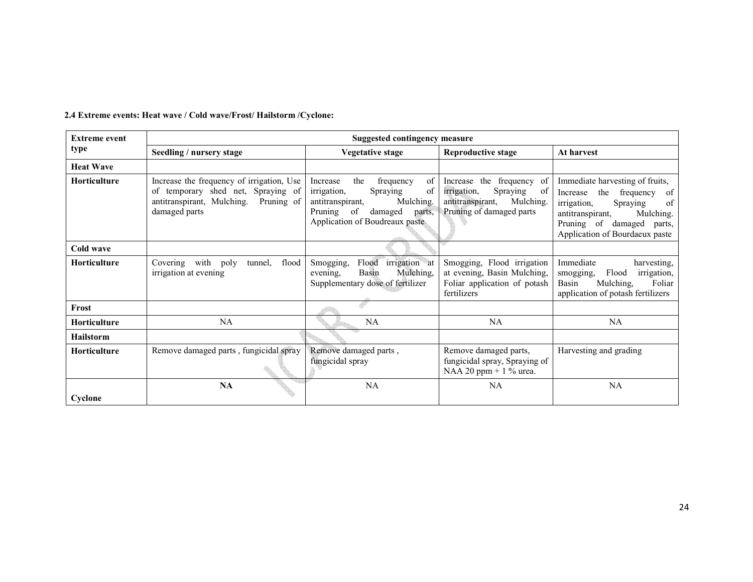| 2.4 Extreme events: Heat wave / Cold wave/Frost/ Hailstorm / Cyclone: |  |  |
|-----------------------------------------------------------------------|--|--|
|                                                                       |  |  |

| <b>Extreme event</b> |                                                                                                                                              | Suggested contingency measure                                                                                                                                                |                                                                                                                                |                                                                                                                                                                                                        |
|----------------------|----------------------------------------------------------------------------------------------------------------------------------------------|------------------------------------------------------------------------------------------------------------------------------------------------------------------------------|--------------------------------------------------------------------------------------------------------------------------------|--------------------------------------------------------------------------------------------------------------------------------------------------------------------------------------------------------|
| type                 | Seedling / nursery stage                                                                                                                     | <b>Vegetative stage</b>                                                                                                                                                      | <b>Reproductive stage</b>                                                                                                      | At harvest                                                                                                                                                                                             |
| <b>Heat Wave</b>     |                                                                                                                                              |                                                                                                                                                                              |                                                                                                                                |                                                                                                                                                                                                        |
| Horticulture         | Increase the frequency of irrigation, Use<br>of temporary shed net, Spraying of<br>antitranspirant, Mulching.<br>Pruning of<br>damaged parts | the<br>of<br>frequency<br>Increase<br>of<br>Spraying<br>irrigation,<br>Mulching.<br>antitranspirant,<br>of<br>Pruning<br>damaged<br>parts.<br>Application of Boudreaux paste | frequency of<br>the<br>Increase<br>Spraying<br>irrigation,<br>-of<br>antitranspirant,<br>Mulching.<br>Pruning of damaged parts | Immediate harvesting of fruits,<br>the frequency<br>of<br>Increase<br>irrigation,<br>Spraying<br>of<br>Mulching.<br>antitranspirant,<br>Pruning of damaged<br>parts,<br>Application of Bourdaeux paste |
| Cold wave            |                                                                                                                                              |                                                                                                                                                                              |                                                                                                                                |                                                                                                                                                                                                        |
| <b>Horticulture</b>  | flood<br>Covering<br>with<br>poly<br>tunnel,<br>irrigation at evening                                                                        | Flood<br>irrigation at<br>Smogging,<br>Mulching,<br>Basin<br>evening.<br>Supplementary dose of fertilizer                                                                    | Smogging, Flood irrigation<br>at evening, Basin Mulching,<br>Foliar application of potash<br>fertilizers                       | Immediate<br>harvesting.<br>Flood<br>irrigation,<br>smogging,<br>Basin<br>Mulching,<br>Foliar<br>application of potash fertilizers                                                                     |
| Frost                |                                                                                                                                              |                                                                                                                                                                              |                                                                                                                                |                                                                                                                                                                                                        |
| <b>Horticulture</b>  | NA                                                                                                                                           | NA                                                                                                                                                                           | NA.                                                                                                                            | NA.                                                                                                                                                                                                    |
| <b>Hailstorm</b>     |                                                                                                                                              |                                                                                                                                                                              |                                                                                                                                |                                                                                                                                                                                                        |
| <b>Horticulture</b>  | Remove damaged parts, fungicidal spray                                                                                                       | Remove damaged parts,<br>fungicidal spray                                                                                                                                    | Remove damaged parts,<br>fungicidal spray, Spraying of<br>NAA 20 ppm + $1\%$ urea.                                             | Harvesting and grading                                                                                                                                                                                 |
| Cyclone              | <b>NA</b>                                                                                                                                    | NA                                                                                                                                                                           | NA                                                                                                                             | NA                                                                                                                                                                                                     |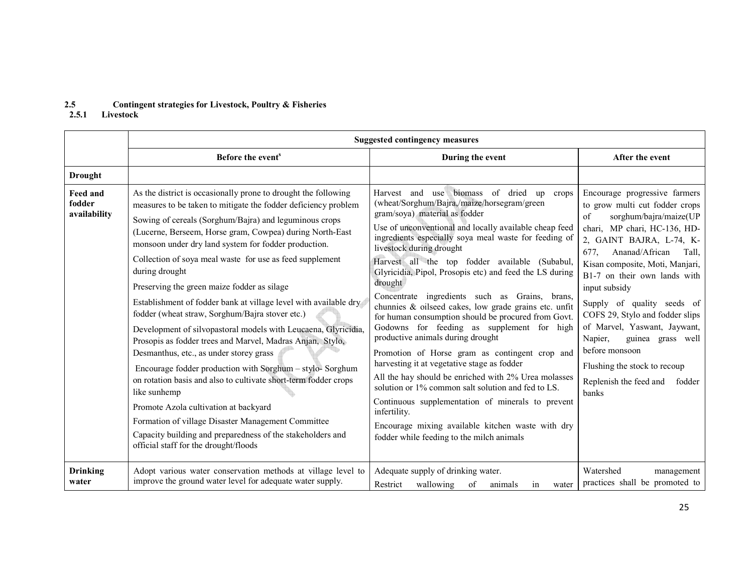# 2.5 Contingent strategies for Livestock, Poultry & Fisheries 2.5.1 Livestock

|                                    | <b>Suggested contingency measures</b>                                                                                                                                                                                                                                                                                                                                                                                                                                                                                                                                                                                                                                                                                                                                                                                                                                                                                                                                                                                                                                                             |                                                                                                                                                                                                                                                                                                                                                                                                                                                                                                                                                                                                                                                                                                                                                                                                                                                                                                                                                                                                                                             |                                                                                                                                                                                                                                                                                                                                                                                                                                                                                                                 |
|------------------------------------|---------------------------------------------------------------------------------------------------------------------------------------------------------------------------------------------------------------------------------------------------------------------------------------------------------------------------------------------------------------------------------------------------------------------------------------------------------------------------------------------------------------------------------------------------------------------------------------------------------------------------------------------------------------------------------------------------------------------------------------------------------------------------------------------------------------------------------------------------------------------------------------------------------------------------------------------------------------------------------------------------------------------------------------------------------------------------------------------------|---------------------------------------------------------------------------------------------------------------------------------------------------------------------------------------------------------------------------------------------------------------------------------------------------------------------------------------------------------------------------------------------------------------------------------------------------------------------------------------------------------------------------------------------------------------------------------------------------------------------------------------------------------------------------------------------------------------------------------------------------------------------------------------------------------------------------------------------------------------------------------------------------------------------------------------------------------------------------------------------------------------------------------------------|-----------------------------------------------------------------------------------------------------------------------------------------------------------------------------------------------------------------------------------------------------------------------------------------------------------------------------------------------------------------------------------------------------------------------------------------------------------------------------------------------------------------|
|                                    | Before the event <sup>s</sup>                                                                                                                                                                                                                                                                                                                                                                                                                                                                                                                                                                                                                                                                                                                                                                                                                                                                                                                                                                                                                                                                     | During the event                                                                                                                                                                                                                                                                                                                                                                                                                                                                                                                                                                                                                                                                                                                                                                                                                                                                                                                                                                                                                            | After the event                                                                                                                                                                                                                                                                                                                                                                                                                                                                                                 |
| <b>Drought</b>                     |                                                                                                                                                                                                                                                                                                                                                                                                                                                                                                                                                                                                                                                                                                                                                                                                                                                                                                                                                                                                                                                                                                   |                                                                                                                                                                                                                                                                                                                                                                                                                                                                                                                                                                                                                                                                                                                                                                                                                                                                                                                                                                                                                                             |                                                                                                                                                                                                                                                                                                                                                                                                                                                                                                                 |
| Feed and<br>fodder<br>availability | As the district is occasionally prone to drought the following<br>measures to be taken to mitigate the fodder deficiency problem<br>Sowing of cereals (Sorghum/Bajra) and leguminous crops<br>(Lucerne, Berseem, Horse gram, Cowpea) during North-East<br>monsoon under dry land system for fodder production.<br>Collection of soya meal waste for use as feed supplement<br>during drought<br>Preserving the green maize fodder as silage<br>Establishment of fodder bank at village level with available dry<br>fodder (wheat straw, Sorghum/Bajra stover etc.)<br>Development of silvopastoral models with Leucaena, Glyricidia,<br>Prosopis as fodder trees and Marvel, Madras Anjan, Stylo,<br>Desmanthus, etc., as under storey grass<br>Encourage fodder production with Sorghum - stylo-Sorghum<br>on rotation basis and also to cultivate short-term fodder crops<br>like sunhemp<br>Promote Azola cultivation at backyard<br>Formation of village Disaster Management Committee<br>Capacity building and preparedness of the stakeholders and<br>official staff for the drought/floods | Harvest and use biomass of dried up crops<br>(wheat/Sorghum/Bajra,/maize/horsegram/green<br>gram/soya) material as fodder<br>Use of unconventional and locally available cheap feed<br>ingredients especially soya meal waste for feeding of<br>livestock during drought<br>Harvest all the top fodder available (Subabul,<br>Glyricidia, Pipol, Prosopis etc) and feed the LS during<br>drought<br>Concentrate ingredients such as Grains, brans,<br>chunnies & oilseed cakes, low grade grains etc. unfit<br>for human consumption should be procured from Govt.<br>Godowns for feeding as supplement for high<br>productive animals during drought<br>Promotion of Horse gram as contingent crop and<br>harvesting it at vegetative stage as fodder<br>All the hay should be enriched with 2% Urea molasses<br>solution or 1% common salt solution and fed to LS.<br>Continuous supplementation of minerals to prevent<br>infertility.<br>Encourage mixing available kitchen waste with dry<br>fodder while feeding to the milch animals | Encourage progressive farmers<br>to grow multi cut fodder crops<br>sorghum/bajra/maize(UP<br>of<br>chari, MP chari, HC-136, HD-<br>2, GAINT BAJRA, L-74, K-<br>677.<br>Ananad/African<br>Tall,<br>Kisan composite, Moti, Manjari,<br>B1-7 on their own lands with<br>input subsidy<br>Supply of quality seeds of<br>COFS 29, Stylo and fodder slips<br>of Marvel, Yaswant, Jaywant,<br>guinea grass well<br>Napier,<br>before monsoon<br>Flushing the stock to recoup<br>Replenish the feed and fodder<br>banks |
| <b>Drinking</b><br>water           | Adopt various water conservation methods at village level to<br>improve the ground water level for adequate water supply.                                                                                                                                                                                                                                                                                                                                                                                                                                                                                                                                                                                                                                                                                                                                                                                                                                                                                                                                                                         | Adequate supply of drinking water.<br>Restrict<br>wallowing<br>of<br>animals<br>in<br>water                                                                                                                                                                                                                                                                                                                                                                                                                                                                                                                                                                                                                                                                                                                                                                                                                                                                                                                                                 | Watershed<br>management<br>practices shall be promoted to                                                                                                                                                                                                                                                                                                                                                                                                                                                       |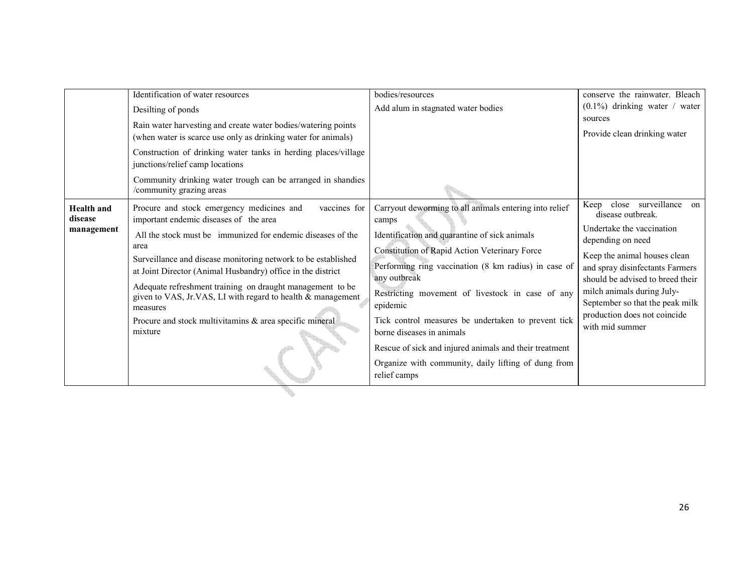|                                            | Identification of water resources                                                                                                                                                                                                                                                                                                                                                                                 | bodies/resources                                                                                                                                                                                                                                                                                                                                                                                                                                            | conserve the rainwater. Bleach                                                                                                                                                                                                               |
|--------------------------------------------|-------------------------------------------------------------------------------------------------------------------------------------------------------------------------------------------------------------------------------------------------------------------------------------------------------------------------------------------------------------------------------------------------------------------|-------------------------------------------------------------------------------------------------------------------------------------------------------------------------------------------------------------------------------------------------------------------------------------------------------------------------------------------------------------------------------------------------------------------------------------------------------------|----------------------------------------------------------------------------------------------------------------------------------------------------------------------------------------------------------------------------------------------|
|                                            | Desilting of ponds                                                                                                                                                                                                                                                                                                                                                                                                | Add alum in stagnated water bodies                                                                                                                                                                                                                                                                                                                                                                                                                          | $(0.1\%)$ drinking water / water                                                                                                                                                                                                             |
|                                            | Rain water harvesting and create water bodies/watering points<br>(when water is scarce use only as drinking water for animals)                                                                                                                                                                                                                                                                                    |                                                                                                                                                                                                                                                                                                                                                                                                                                                             | sources<br>Provide clean drinking water                                                                                                                                                                                                      |
|                                            | Construction of drinking water tanks in herding places/village<br>junctions/relief camp locations                                                                                                                                                                                                                                                                                                                 |                                                                                                                                                                                                                                                                                                                                                                                                                                                             |                                                                                                                                                                                                                                              |
|                                            | Community drinking water trough can be arranged in shandies<br>/community grazing areas                                                                                                                                                                                                                                                                                                                           |                                                                                                                                                                                                                                                                                                                                                                                                                                                             |                                                                                                                                                                                                                                              |
| <b>Health</b> and<br>disease<br>management | Procure and stock emergency medicines and<br>vaccines for<br>important endemic diseases of the area                                                                                                                                                                                                                                                                                                               | Carryout deworming to all animals entering into relief<br>camps                                                                                                                                                                                                                                                                                                                                                                                             | close surveillance on<br>Keep<br>disease outbreak.<br>Undertake the vaccination                                                                                                                                                              |
|                                            | All the stock must be immunized for endemic diseases of the<br>area<br>Surveillance and disease monitoring network to be established<br>at Joint Director (Animal Husbandry) office in the district<br>Adequate refreshment training on draught management to be<br>given to VAS, Jr.VAS, LI with regard to health & management<br>measures<br>Procure and stock multivitamins & area specific mineral<br>mixture | Identification and quarantine of sick animals<br>Constitution of Rapid Action Veterinary Force<br>Performing ring vaccination (8 km radius) in case of<br>any outbreak<br>Restricting movement of livestock in case of any<br>epidemic<br>Tick control measures be undertaken to prevent tick<br>borne diseases in animals<br>Rescue of sick and injured animals and their treatment<br>Organize with community, daily lifting of dung from<br>relief camps | depending on need<br>Keep the animal houses clean<br>and spray disinfectants Farmers<br>should be advised to breed their<br>milch animals during July-<br>September so that the peak milk<br>production does not coincide<br>with mid summer |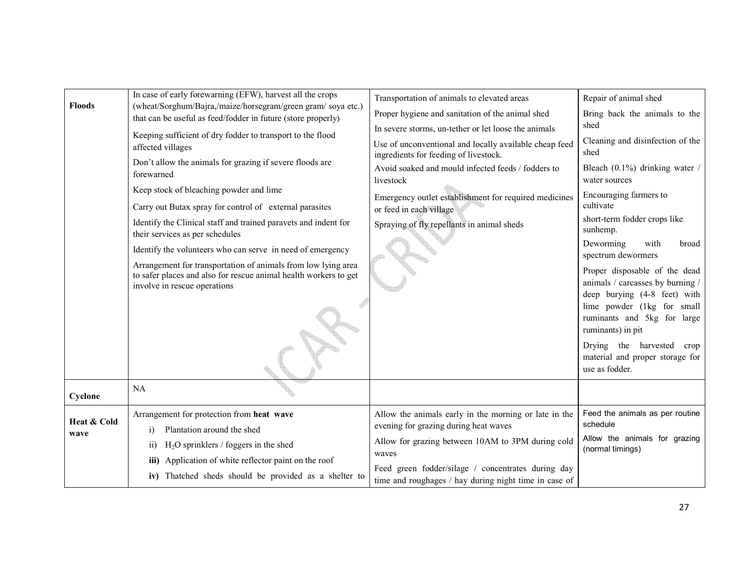| <b>Floods</b> | In case of early forewarning (EFW), harvest all the crops                                                                                                         | Transportation of animals to elevated areas                                                     | Repair of animal shed                                                                             |
|---------------|-------------------------------------------------------------------------------------------------------------------------------------------------------------------|-------------------------------------------------------------------------------------------------|---------------------------------------------------------------------------------------------------|
|               | (wheat/Sorghum/Bajra,/maize/horsegram/green gram/soya etc.)<br>that can be useful as feed/fodder in future (store properly)                                       | Proper hygiene and sanitation of the animal shed                                                | Bring back the animals to the                                                                     |
|               | Keeping sufficient of dry fodder to transport to the flood                                                                                                        | In severe storms, un-tether or let loose the animals                                            | shed                                                                                              |
|               | affected villages                                                                                                                                                 | Use of unconventional and locally available cheap feed<br>ingredients for feeding of livestock. | Cleaning and disinfection of the<br>shed                                                          |
|               | Don't allow the animals for grazing if severe floods are<br>forewarned                                                                                            | Avoid soaked and mould infected feeds / fodders to<br>livestock                                 | Bleach $(0.1\%)$ drinking water /<br>water sources                                                |
|               | Keep stock of bleaching powder and lime                                                                                                                           | Emergency outlet establishment for required medicines                                           | Encouraging farmers to                                                                            |
|               | Carry out Butax spray for control of external parasites                                                                                                           | or feed in each village                                                                         | cultivate                                                                                         |
|               | Identify the Clinical staff and trained paravets and indent for<br>their services as per schedules                                                                | Spraying of fly repellants in animal sheds                                                      | short-term fodder crops like<br>sunhemp.                                                          |
|               | Identify the volunteers who can serve in need of emergency                                                                                                        |                                                                                                 | Deworming<br>with<br>broad<br>spectrum dewormers                                                  |
|               | Arrangement for transportation of animals from low lying area<br>to safer places and also for rescue animal health workers to get<br>involve in rescue operations |                                                                                                 | Proper disposable of the dead<br>animals / carcasses by burning /<br>deep burying (4-8 feet) with |
|               |                                                                                                                                                                   |                                                                                                 | lime powder (1kg for small<br>ruminants and 5kg for large<br>ruminants) in pit                    |
|               |                                                                                                                                                                   |                                                                                                 | Drying the harvested<br>crop<br>material and proper storage for<br>use as fodder.                 |
| Cyclone       | NA                                                                                                                                                                |                                                                                                 |                                                                                                   |
| Heat & Cold   | Arrangement for protection from heat wave                                                                                                                         | Allow the animals early in the morning or late in the                                           | Feed the animals as per routine<br>schedule                                                       |
| wave          | Plantation around the shed<br>$\ddot{1}$                                                                                                                          | evening for grazing during heat waves                                                           | Allow the animals for grazing                                                                     |
|               | $H2O$ sprinklers / foggers in the shed<br>$\overline{ii}$                                                                                                         | Allow for grazing between 10AM to 3PM during cold<br>waves                                      | (normal timings)                                                                                  |
|               | iii) Application of white reflector paint on the roof                                                                                                             | Feed green fodder/silage / concentrates during day                                              |                                                                                                   |
|               | iv) Thatched sheds should be provided as a shelter to                                                                                                             | time and roughages / hay during night time in case of                                           |                                                                                                   |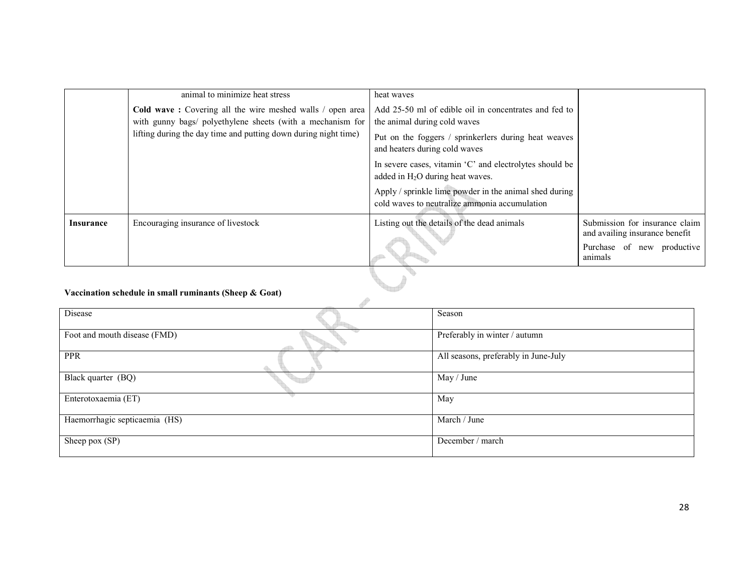|           | animal to minimize heat stress                                                                                          | heat waves                                                                                              |                                                                  |
|-----------|-------------------------------------------------------------------------------------------------------------------------|---------------------------------------------------------------------------------------------------------|------------------------------------------------------------------|
|           | Cold wave: Covering all the wire meshed walls / open area<br>with gunny bags/ polyethylene sheets (with a mechanism for | Add 25-50 ml of edible oil in concentrates and fed to<br>the animal during cold waves                   |                                                                  |
|           | lifting during the day time and putting down during night time)                                                         | Put on the foggers / sprinkerlers during heat weaves<br>and heaters during cold waves                   |                                                                  |
|           |                                                                                                                         | In severe cases, vitamin 'C' and electrolytes should be<br>added in $H_2O$ during heat waves.           |                                                                  |
|           |                                                                                                                         | Apply / sprinkle lime powder in the animal shed during<br>cold waves to neutralize ammonia accumulation |                                                                  |
| Insurance | Encouraging insurance of livestock                                                                                      | Listing out the details of the dead animals                                                             | Submission for insurance claim<br>and availing insurance benefit |
|           |                                                                                                                         |                                                                                                         | Purchase of new productive<br>animals                            |
|           | Vaccination schedule in small ruminants (Sheen $\&$ Coat)                                                               |                                                                                                         |                                                                  |

#### Vaccination schedule in small ruminants (Sheep & Goat)

| <i>vaccination schedule in sinan fummants (Sheep &amp; Goat)</i> |                                      |  |  |  |
|------------------------------------------------------------------|--------------------------------------|--|--|--|
| Disease                                                          | Season                               |  |  |  |
| Foot and mouth disease (FMD)                                     | Preferably in winter / autumn        |  |  |  |
| <b>PPR</b>                                                       | All seasons, preferably in June-July |  |  |  |
| Black quarter (BQ)                                               | May / June                           |  |  |  |
| Enterotoxaemia (ET)                                              | May                                  |  |  |  |
| Haemorrhagic septicaemia (HS)                                    | March / June                         |  |  |  |
| Sheep pox (SP)                                                   | December / march                     |  |  |  |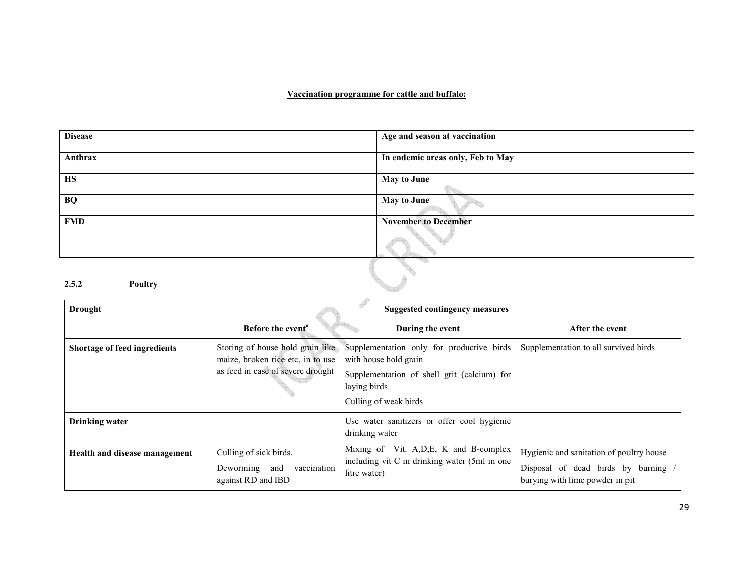#### Vaccination programme for cattle and buffalo:

| <b>Disease</b>          | Age and season at vaccination     |
|-------------------------|-----------------------------------|
|                         |                                   |
|                         |                                   |
| Anthrax                 | In endemic areas only, Feb to May |
|                         |                                   |
| <b>HS</b>               | <b>May to June</b>                |
|                         |                                   |
|                         |                                   |
| <b>BQ</b>               | May to June                       |
|                         |                                   |
| <b>FMD</b>              | <b>November to December</b>       |
|                         |                                   |
|                         |                                   |
|                         |                                   |
|                         |                                   |
|                         |                                   |
|                         |                                   |
|                         |                                   |
| 2.5.2<br><b>Poultry</b> |                                   |
|                         |                                   |

| Drought                       | <b>Suggested contingency measures</b>                                                                      |                                                                                                                                                            |                                                                                                                  |
|-------------------------------|------------------------------------------------------------------------------------------------------------|------------------------------------------------------------------------------------------------------------------------------------------------------------|------------------------------------------------------------------------------------------------------------------|
|                               | Before the event <sup>a</sup>                                                                              | During the event                                                                                                                                           | After the event                                                                                                  |
| Shortage of feed ingredients  | Storing of house hold grain like<br>maize, broken rice etc, in to use<br>as feed in case of severe drought | Supplementation only for productive birds<br>with house hold grain<br>Supplementation of shell grit (calcium) for<br>laying birds<br>Culling of weak birds | Supplementation to all survived birds                                                                            |
| <b>Drinking water</b>         |                                                                                                            | Use water sanitizers or offer cool hygienic<br>drinking water                                                                                              |                                                                                                                  |
| Health and disease management | Culling of sick birds.<br>vaccination<br>Deworming and<br>against RD and IBD                               | Mixing of Vit. A, D, E, K and B-complex<br>including vit C in drinking water (5ml in one<br>litre water)                                                   | Hygienic and sanitation of poultry house<br>Disposal of dead birds by burning<br>burying with lime powder in pit |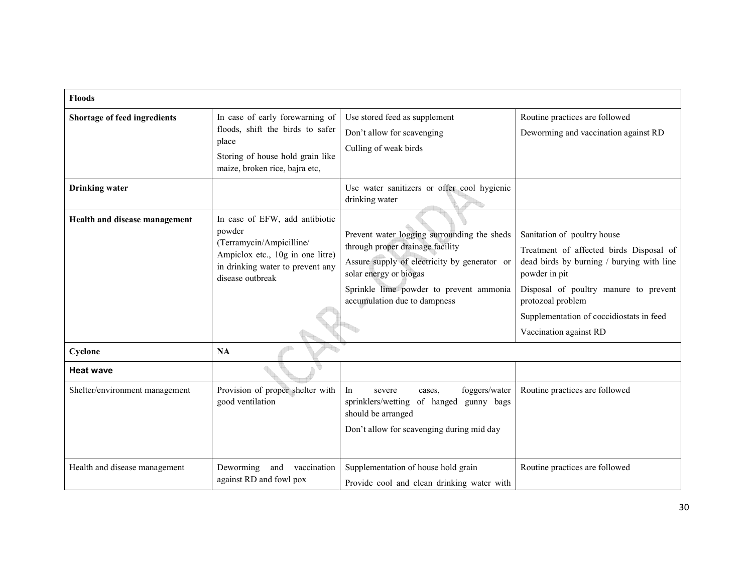| <b>Floods</b>                  |                                                                                                                                                                  |                                                                                                                                                                                                                                      |                                                                                                                                                                                                                                                                          |
|--------------------------------|------------------------------------------------------------------------------------------------------------------------------------------------------------------|--------------------------------------------------------------------------------------------------------------------------------------------------------------------------------------------------------------------------------------|--------------------------------------------------------------------------------------------------------------------------------------------------------------------------------------------------------------------------------------------------------------------------|
| Shortage of feed ingredients   | In case of early forewarning of<br>floods, shift the birds to safer<br>place<br>Storing of house hold grain like<br>maize, broken rice, bajra etc,               | Use stored feed as supplement<br>Don't allow for scavenging<br>Culling of weak birds                                                                                                                                                 | Routine practices are followed<br>Deworming and vaccination against RD                                                                                                                                                                                                   |
| <b>Drinking</b> water          |                                                                                                                                                                  | Use water sanitizers or offer cool hygienic<br>drinking water                                                                                                                                                                        |                                                                                                                                                                                                                                                                          |
| Health and disease management  | In case of EFW, add antibiotic<br>powder<br>(Terramycin/Ampicilline/<br>Ampiclox etc., 10g in one litre)<br>in drinking water to prevent any<br>disease outbreak | Prevent water logging surrounding the sheds<br>through proper drainage facility<br>Assure supply of electricity by generator or<br>solar energy or biogas<br>Sprinkle lime powder to prevent ammonia<br>accumulation due to dampness | Sanitation of poultry house<br>Treatment of affected birds Disposal of<br>dead birds by burning / burying with line<br>powder in pit<br>Disposal of poultry manure to prevent<br>protozoal problem<br>Supplementation of coccidiostats in feed<br>Vaccination against RD |
| Cyclone                        | NA                                                                                                                                                               |                                                                                                                                                                                                                                      |                                                                                                                                                                                                                                                                          |
| <b>Heat wave</b>               |                                                                                                                                                                  |                                                                                                                                                                                                                                      |                                                                                                                                                                                                                                                                          |
| Shelter/environment management | Provision of proper shelter with<br>good ventilation                                                                                                             | In<br>foggers/water<br>severe<br>cases.<br>sprinklers/wetting<br>of hanged<br>gunny bags<br>should be arranged<br>Don't allow for scavenging during mid day                                                                          | Routine practices are followed                                                                                                                                                                                                                                           |
| Health and disease management  | Deworming<br>and vaccination<br>against RD and fowl pox                                                                                                          | Supplementation of house hold grain<br>Provide cool and clean drinking water with                                                                                                                                                    | Routine practices are followed                                                                                                                                                                                                                                           |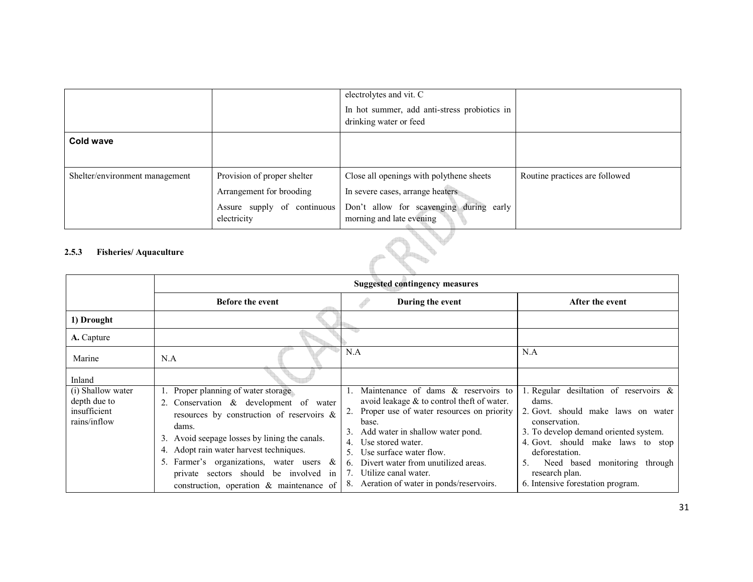|                                       |                             | electrolytes and vit. C                                                |                                |
|---------------------------------------|-----------------------------|------------------------------------------------------------------------|--------------------------------|
|                                       |                             | In hot summer, add anti-stress probiotics in<br>drinking water or feed |                                |
|                                       |                             |                                                                        |                                |
| Cold wave                             |                             |                                                                        |                                |
|                                       |                             |                                                                        |                                |
| Shelter/environment management        | Provision of proper shelter | Close all openings with polythene sheets                               | Routine practices are followed |
|                                       | Arrangement for brooding    | In severe cases, arrange heaters                                       |                                |
|                                       | Assure supply of continuous | Don't allow for scavenging during early                                |                                |
|                                       | electricity                 | morning and late evening                                               |                                |
| 2.5.3<br><b>Fisheries/Aquaculture</b> |                             |                                                                        |                                |

#### 2.5.3 Fisheries/ Aquaculture

|                                                                   |                                                                                                                                                                                                                                                                                                                                                                     | <b>Suggested contingency measures</b>                                                                                                                                                                                                                                                                                                                               |                                                                                                                                                                                                                                                                                                         |
|-------------------------------------------------------------------|---------------------------------------------------------------------------------------------------------------------------------------------------------------------------------------------------------------------------------------------------------------------------------------------------------------------------------------------------------------------|---------------------------------------------------------------------------------------------------------------------------------------------------------------------------------------------------------------------------------------------------------------------------------------------------------------------------------------------------------------------|---------------------------------------------------------------------------------------------------------------------------------------------------------------------------------------------------------------------------------------------------------------------------------------------------------|
|                                                                   | <b>Before the event</b>                                                                                                                                                                                                                                                                                                                                             | During the event                                                                                                                                                                                                                                                                                                                                                    | After the event                                                                                                                                                                                                                                                                                         |
| 1) Drought                                                        |                                                                                                                                                                                                                                                                                                                                                                     |                                                                                                                                                                                                                                                                                                                                                                     |                                                                                                                                                                                                                                                                                                         |
| A. Capture                                                        |                                                                                                                                                                                                                                                                                                                                                                     |                                                                                                                                                                                                                                                                                                                                                                     |                                                                                                                                                                                                                                                                                                         |
| Marine                                                            | N.A                                                                                                                                                                                                                                                                                                                                                                 | N.A                                                                                                                                                                                                                                                                                                                                                                 | N.A                                                                                                                                                                                                                                                                                                     |
| Inland                                                            |                                                                                                                                                                                                                                                                                                                                                                     |                                                                                                                                                                                                                                                                                                                                                                     |                                                                                                                                                                                                                                                                                                         |
| (i) Shallow water<br>depth due to<br>insufficient<br>rains/inflow | Proper planning of water storage<br>2. Conservation & development of water<br>resources by construction of reservoirs &<br>dams.<br>3. Avoid seepage losses by lining the canals.<br>4. Adopt rain water harvest techniques.<br>5. Farmer's organizations, water users $\&$<br>private sectors should be involved in<br>construction, operation $\&$ maintenance of | Maintenance of dams & reservoirs to<br>avoid leakage & to control theft of water.<br>Proper use of water resources on priority<br>base.<br>Add water in shallow water pond.<br>Use stored water.<br>4.<br>Use surface water flow.<br>5.<br>Divert water from unutilized areas.<br>$\mathbf{b}$<br>Utilize canal water.<br>8. Aeration of water in ponds/reservoirs. | 1. Regular desiltation of reservoirs $\&$<br>dams.<br>2. Govt. should make laws on water<br>conservation.<br>3. To develop demand oriented system.<br>4. Govt. should make laws to stop<br>deforestation.<br>Need based monitoring through<br>5.<br>research plan.<br>6. Intensive forestation program. |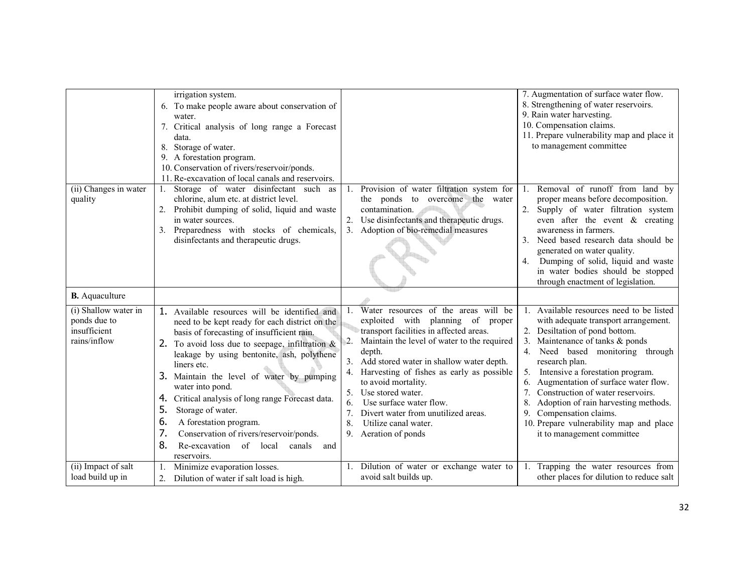|                                                                      | irrigation system.<br>6. To make people aware about conservation of<br>water.<br>7. Critical analysis of long range a Forecast<br>data.<br>8. Storage of water.<br>9. A forestation program.<br>10. Conservation of rivers/reservoir/ponds.<br>11. Re-excavation of local canals and reservoirs.                                                                                                                                                                                                                                                                      |                                                                                                                                                                                                                                                                                                                                                                                                                                                                                   | 7. Augmentation of surface water flow.<br>8. Strengthening of water reservoirs.<br>9. Rain water harvesting.<br>10. Compensation claims.<br>11. Prepare vulnerability map and place it<br>to management committee                                                                                                                                                                                                                                                                                                    |
|----------------------------------------------------------------------|-----------------------------------------------------------------------------------------------------------------------------------------------------------------------------------------------------------------------------------------------------------------------------------------------------------------------------------------------------------------------------------------------------------------------------------------------------------------------------------------------------------------------------------------------------------------------|-----------------------------------------------------------------------------------------------------------------------------------------------------------------------------------------------------------------------------------------------------------------------------------------------------------------------------------------------------------------------------------------------------------------------------------------------------------------------------------|----------------------------------------------------------------------------------------------------------------------------------------------------------------------------------------------------------------------------------------------------------------------------------------------------------------------------------------------------------------------------------------------------------------------------------------------------------------------------------------------------------------------|
| (ii) Changes in water<br>quality                                     | Storage of water disinfectant such<br>as<br>chlorine, alum etc. at district level.<br>Prohibit dumping of solid, liquid and waste<br>in water sources.<br>3. Preparedness with stocks of chemicals,<br>disinfectants and therapeutic drugs.                                                                                                                                                                                                                                                                                                                           | Provision of water filtration system for<br>the ponds to overcome the water<br>contamination.<br>Use disinfectants and therapeutic drugs.<br>3. Adoption of bio-remedial measures                                                                                                                                                                                                                                                                                                 | 1. Removal of runoff from land by<br>proper means before decomposition.<br>2.<br>Supply of water filtration system<br>even after the event & creating<br>awareness in farmers.<br>3. Need based research data should be<br>generated on water quality.<br>Dumping of solid, liquid and waste<br>4.<br>in water bodies should be stopped<br>through enactment of legislation.                                                                                                                                         |
| <b>B.</b> Aquaculture                                                |                                                                                                                                                                                                                                                                                                                                                                                                                                                                                                                                                                       |                                                                                                                                                                                                                                                                                                                                                                                                                                                                                   |                                                                                                                                                                                                                                                                                                                                                                                                                                                                                                                      |
| (i) Shallow water in<br>ponds due to<br>insufficient<br>rains/inflow | 1. Available resources will be identified and<br>need to be kept ready for each district on the<br>basis of forecasting of insufficient rain.<br>2. To avoid loss due to seepage, infiltration $\&$<br>leakage by using bentonite, ash, polythene<br>liners etc.<br>3. Maintain the level of water by pumping<br>water into pond.<br>Critical analysis of long range Forecast data.<br>4.<br>5.<br>Storage of water.<br>6.<br>A forestation program.<br>7.<br>Conservation of rivers/reservoir/ponds.<br>8.<br>Re-excavation of local<br>canals<br>and<br>reservoirs. | Water resources of the areas will be<br>exploited with planning<br>of proper<br>transport facilities in affected areas.<br>Maintain the level of water to the required<br>2.<br>depth.<br>3. Add stored water in shallow water depth.<br>Harvesting of fishes as early as possible<br>4.<br>to avoid mortality.<br>Use stored water.<br>5.<br>Use surface water flow.<br>6.<br>Divert water from unutilized areas.<br>7.<br>8.<br>Utilize canal water.<br>Aeration of ponds<br>9. | 1. Available resources need to be listed<br>with adequate transport arrangement.<br>2. Desiltation of pond bottom.<br>Maintenance of tanks & ponds<br>3.<br>Need based monitoring through<br>4.<br>research plan.<br>Intensive a forestation program.<br>5.<br>Augmentation of surface water flow.<br>6.<br>7 <sup>1</sup><br>Construction of water reservoirs.<br>8.<br>Adoption of rain harvesting methods.<br>9.<br>Compensation claims.<br>10. Prepare vulnerability map and place<br>it to management committee |
| (ii) Impact of salt<br>load build up in                              | Minimize evaporation losses.<br>Dilution of water if salt load is high.                                                                                                                                                                                                                                                                                                                                                                                                                                                                                               | Dilution of water or exchange water to<br>avoid salt builds up.                                                                                                                                                                                                                                                                                                                                                                                                                   | 1. Trapping the water resources from<br>other places for dilution to reduce salt                                                                                                                                                                                                                                                                                                                                                                                                                                     |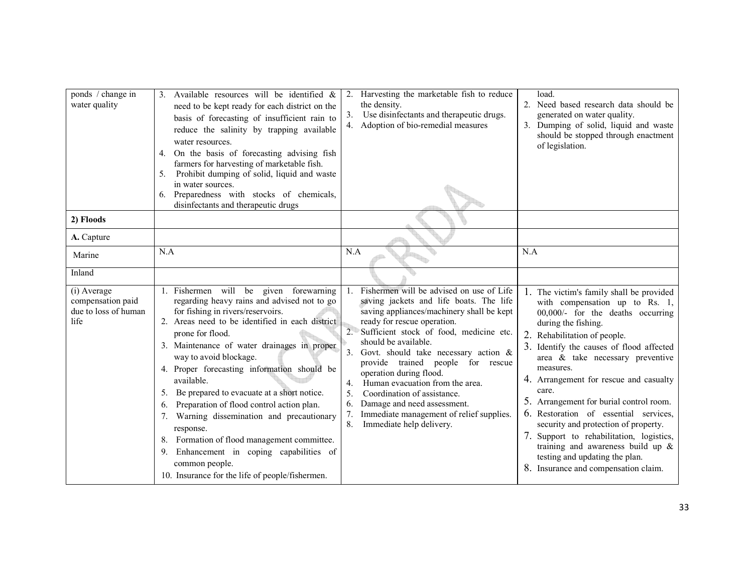| ponds / change in<br>water quality                               | 3. Available resources will be identified $\&$<br>need to be kept ready for each district on the<br>basis of forecasting of insufficient rain to<br>reduce the salinity by trapping available<br>water resources.<br>4. On the basis of forecasting advising fish<br>farmers for harvesting of marketable fish.<br>5. Prohibit dumping of solid, liquid and waste<br>in water sources.<br>6. Preparedness with stocks of chemicals,<br>disinfectants and therapeutic drugs                                                                                                                                                                                                | Harvesting the marketable fish to reduce<br>2.<br>the density.<br>Use disinfectants and therapeutic drugs.<br>3.<br>4. Adoption of bio-remedial measures                                                                                                                                                                                                                                                                                                                                                                                                      | load.<br>2. Need based research data should be<br>generated on water quality.<br>3. Dumping of solid, liquid and waste<br>should be stopped through enactment<br>of legislation.                                                                                                                                                                                                                                                                                                                                                                                                                                 |
|------------------------------------------------------------------|---------------------------------------------------------------------------------------------------------------------------------------------------------------------------------------------------------------------------------------------------------------------------------------------------------------------------------------------------------------------------------------------------------------------------------------------------------------------------------------------------------------------------------------------------------------------------------------------------------------------------------------------------------------------------|---------------------------------------------------------------------------------------------------------------------------------------------------------------------------------------------------------------------------------------------------------------------------------------------------------------------------------------------------------------------------------------------------------------------------------------------------------------------------------------------------------------------------------------------------------------|------------------------------------------------------------------------------------------------------------------------------------------------------------------------------------------------------------------------------------------------------------------------------------------------------------------------------------------------------------------------------------------------------------------------------------------------------------------------------------------------------------------------------------------------------------------------------------------------------------------|
| 2) Floods                                                        |                                                                                                                                                                                                                                                                                                                                                                                                                                                                                                                                                                                                                                                                           |                                                                                                                                                                                                                                                                                                                                                                                                                                                                                                                                                               |                                                                                                                                                                                                                                                                                                                                                                                                                                                                                                                                                                                                                  |
| A. Capture                                                       |                                                                                                                                                                                                                                                                                                                                                                                                                                                                                                                                                                                                                                                                           |                                                                                                                                                                                                                                                                                                                                                                                                                                                                                                                                                               |                                                                                                                                                                                                                                                                                                                                                                                                                                                                                                                                                                                                                  |
| Marine                                                           | N.A                                                                                                                                                                                                                                                                                                                                                                                                                                                                                                                                                                                                                                                                       | N.A                                                                                                                                                                                                                                                                                                                                                                                                                                                                                                                                                           | N.A                                                                                                                                                                                                                                                                                                                                                                                                                                                                                                                                                                                                              |
| Inland                                                           |                                                                                                                                                                                                                                                                                                                                                                                                                                                                                                                                                                                                                                                                           |                                                                                                                                                                                                                                                                                                                                                                                                                                                                                                                                                               |                                                                                                                                                                                                                                                                                                                                                                                                                                                                                                                                                                                                                  |
| (i) Average<br>compensation paid<br>due to loss of human<br>life | 1. Fishermen will be given forewarning<br>regarding heavy rains and advised not to go<br>for fishing in rivers/reservoirs.<br>2. Areas need to be identified in each district<br>prone for flood.<br>3. Maintenance of water drainages in proper<br>way to avoid blockage.<br>4. Proper forecasting information should be<br>available.<br>5. Be prepared to evacuate at a short notice.<br>Preparation of flood control action plan.<br>6.<br>7. Warning dissemination and precautionary<br>response.<br>8. Formation of flood management committee.<br>Enhancement in coping capabilities of<br>9.<br>common people.<br>10. Insurance for the life of people/fishermen. | Fishermen will be advised on use of Life<br>saving jackets and life boats. The life<br>saving appliances/machinery shall be kept<br>ready for rescue operation.<br>2. Sufficient stock of food, medicine etc.<br>should be available.<br>3.<br>Govt. should take necessary action $\&$<br>provide trained people for rescue<br>operation during flood.<br>Human evacuation from the area.<br>4.<br>5.<br>Coordination of assistance.<br>Damage and need assessment.<br>6.<br>7.<br>Immediate management of relief supplies.<br>8.<br>Immediate help delivery. | 1. The victim's family shall be provided<br>with compensation up to Rs. 1,<br>00,000/- for the deaths occurring<br>during the fishing.<br>2. Rehabilitation of people.<br>3. Identify the causes of flood affected<br>area & take necessary preventive<br>measures.<br>4. Arrangement for rescue and casualty<br>care.<br>5. Arrangement for burial control room.<br>6. Restoration of essential services,<br>security and protection of property.<br>7. Support to rehabilitation, logistics,<br>training and awareness build up $\&$<br>testing and updating the plan.<br>8. Insurance and compensation claim. |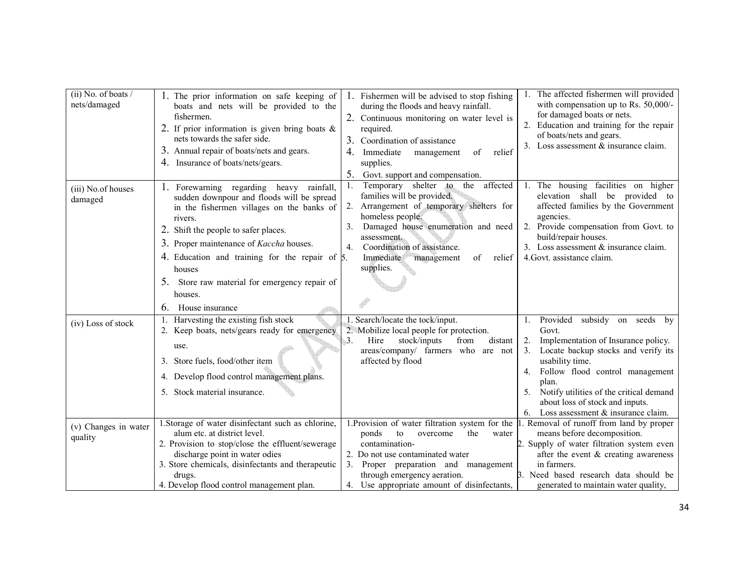| $(ii)$ No. of boats /<br>nets/damaged | 1. The prior information on safe keeping of<br>boats and nets will be provided to the<br>fishermen.<br>2. If prior information is given bring boats $\&$<br>nets towards the safer side.<br>3. Annual repair of boats/nets and gears.<br>4. Insurance of boats/nets/gears.                                                                                                                   | 1. Fishermen will be advised to stop fishing<br>during the floods and heavy rainfall.<br>2. Continuous monitoring on water level is<br>required.<br>Coordination of assistance<br>3.<br>4.<br>Immediate<br>management<br>of<br>relief<br>supplies.<br>5.<br>Govt. support and compensation.         | 1. The affected fishermen will provided<br>with compensation up to Rs. 50,000/-<br>for damaged boats or nets.<br>2. Education and training for the repair<br>of boats/nets and gears.<br>3. Loss assessment & insurance claim.                                                                                                                |
|---------------------------------------|----------------------------------------------------------------------------------------------------------------------------------------------------------------------------------------------------------------------------------------------------------------------------------------------------------------------------------------------------------------------------------------------|-----------------------------------------------------------------------------------------------------------------------------------------------------------------------------------------------------------------------------------------------------------------------------------------------------|-----------------------------------------------------------------------------------------------------------------------------------------------------------------------------------------------------------------------------------------------------------------------------------------------------------------------------------------------|
| (iii) No. of houses<br>damaged        | 1. Forewarning regarding heavy rainfall,<br>sudden downpour and floods will be spread<br>in the fishermen villages on the banks of<br>rivers.<br>2. Shift the people to safer places.<br>3. Proper maintenance of <i>Kaccha</i> houses.<br>4. Education and training for the repair of $\beta$ .<br>houses<br>5. Store raw material for emergency repair of<br>houses.<br>6. House insurance | affected<br>Temporary shelter to<br>the<br>1.<br>families will be provided.<br>2. Arrangement of temporary shelters for<br>homeless people.<br>Damaged house enumeration and need<br>3.<br>assessment.<br>Coordination of assistance.<br>4.<br>Immediate<br>management<br>relief<br>of<br>supplies. | 1. The housing facilities on higher<br>elevation shall be provided to<br>affected families by the Government<br>agencies.<br>2. Provide compensation from Govt. to<br>build/repair houses.<br>3. Loss assessment & insurance claim.<br>4. Govt. assistance claim.                                                                             |
| (iv) Loss of stock                    | 1. Harvesting the existing fish stock<br>2. Keep boats, nets/gears ready for emergency<br>use.<br>3. Store fuels, food/other item<br>4. Develop flood control management plans.<br>5. Stock material insurance.                                                                                                                                                                              | 1. Search/locate the tock/input.<br>2. Mobilize local people for protection.<br>Hire<br>stock/inputs<br>3.<br>from<br>distant<br>areas/company/ farmers who are not<br>affected by flood                                                                                                            | subsidy on seeds by<br>Provided<br>1.<br>Govt.<br>Implementation of Insurance policy.<br>2.<br>Locate backup stocks and verify its<br>3.<br>usability time.<br>Follow flood control management<br>4.<br>plan.<br>Notify utilities of the critical demand<br>5.<br>about loss of stock and inputs.<br>Loss assessment & insurance claim.<br>6. |
| (v) Changes in water<br>quality       | 1. Storage of water disinfectant such as chlorine,<br>alum etc. at district level.<br>2. Provision to stop/close the effluent/sewerage<br>discharge point in water odies<br>3. Store chemicals, disinfectants and therapeutic<br>drugs.<br>4. Develop flood control management plan.                                                                                                         | 1. Provision of water filtration system for the<br>ponds<br>the<br>to<br>overcome<br>water<br>contamination-<br>2. Do not use contaminated water<br>3. Proper preparation and management<br>through emergency aeration.<br>4. Use appropriate amount of disinfectants,                              | . Removal of runoff from land by proper<br>means before decomposition.<br>2. Supply of water filtration system even<br>after the event & creating awareness<br>in farmers.<br>3. Need based research data should be<br>generated to maintain water quality,                                                                                   |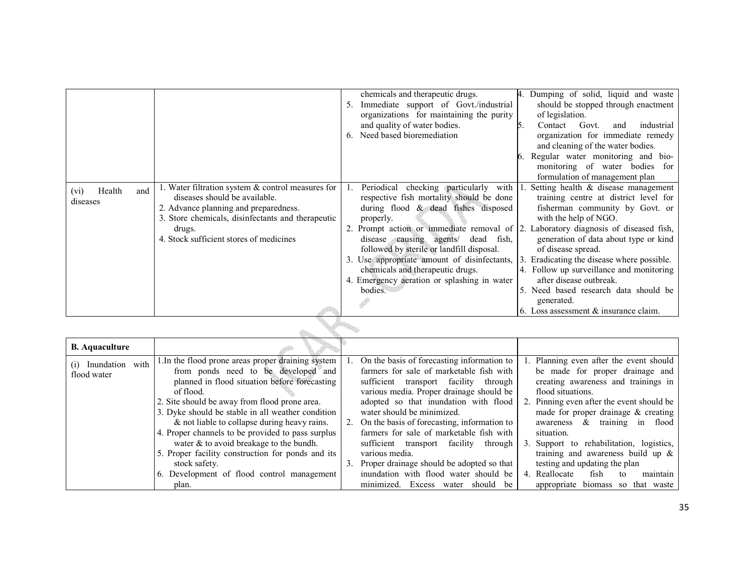|                       |                                                                                            | chemicals and therapeutic drugs.                                                       | 4. Dumping of solid, liquid and waste                    |  |  |  |
|-----------------------|--------------------------------------------------------------------------------------------|----------------------------------------------------------------------------------------|----------------------------------------------------------|--|--|--|
|                       |                                                                                            | Immediate support of Govt./industrial                                                  | should be stopped through enactment                      |  |  |  |
|                       |                                                                                            | organizations for maintaining the purity                                               | of legislation.                                          |  |  |  |
|                       |                                                                                            | and quality of water bodies.                                                           | Contact<br>Govt.<br>5.<br>industrial<br>and              |  |  |  |
|                       |                                                                                            | Need based bioremediation<br>6.                                                        | organization for immediate remedy                        |  |  |  |
|                       |                                                                                            |                                                                                        | and cleaning of the water bodies.                        |  |  |  |
|                       |                                                                                            |                                                                                        | Regular water monitoring and bio-                        |  |  |  |
|                       |                                                                                            |                                                                                        | monitoring of water bodies for                           |  |  |  |
|                       |                                                                                            |                                                                                        | formulation of management plan                           |  |  |  |
| Health<br>(vi)<br>and | 1. Water filtration system & control measures for                                          | checking particularly with<br>Periodical                                               | Setting health & disease management                      |  |  |  |
| diseases              | diseases should be available.                                                              | respective fish mortality should be done                                               | training centre at district level for                    |  |  |  |
|                       | 2. Advance planning and preparedness.<br>3. Store chemicals, disinfectants and therapeutic | during flood $\&$ dead fishes disposed                                                 | fisherman community by Govt. or<br>with the help of NGO. |  |  |  |
|                       |                                                                                            | properly.<br>Prompt action or immediate removal of $ 2$ .                              | Laboratory diagnosis of diseased fish,                   |  |  |  |
|                       | drugs.<br>4. Stock sufficient stores of medicines                                          | disease causing agents/<br>dead fish,                                                  | generation of data about type or kind                    |  |  |  |
|                       |                                                                                            | followed by sterile or landfill disposal.                                              | of disease spread.                                       |  |  |  |
|                       |                                                                                            | 3. Use appropriate amount of disinfectants, 3. Eradicating the disease where possible. |                                                          |  |  |  |
|                       |                                                                                            | chemicals and therapeutic drugs.                                                       | 4. Follow up surveillance and monitoring                 |  |  |  |
|                       |                                                                                            | 4. Emergency aeration or splashing in water                                            | after disease outbreak.                                  |  |  |  |
|                       |                                                                                            | bodies.                                                                                | 5. Need based research data should be                    |  |  |  |
|                       |                                                                                            |                                                                                        | generated.                                               |  |  |  |
|                       |                                                                                            |                                                                                        | 6. Loss assessment & insurance claim.                    |  |  |  |
|                       |                                                                                            |                                                                                        |                                                          |  |  |  |
|                       |                                                                                            |                                                                                        |                                                          |  |  |  |

| <b>B.</b> Aquaculture                 |                                                                                                                                                                                                                                                                                                                                                                                                                                                                                        |    |                                                                                                                                                                                                                                                                                                                                                                                                                                                             |                                                                                                                                                                                                                                                                                                                                                                                                   |
|---------------------------------------|----------------------------------------------------------------------------------------------------------------------------------------------------------------------------------------------------------------------------------------------------------------------------------------------------------------------------------------------------------------------------------------------------------------------------------------------------------------------------------------|----|-------------------------------------------------------------------------------------------------------------------------------------------------------------------------------------------------------------------------------------------------------------------------------------------------------------------------------------------------------------------------------------------------------------------------------------------------------------|---------------------------------------------------------------------------------------------------------------------------------------------------------------------------------------------------------------------------------------------------------------------------------------------------------------------------------------------------------------------------------------------------|
| Inundation with<br>(i)<br>flood water | 1. In the flood prone areas proper draining system<br>from ponds need to be developed and<br>planned in flood situation before forecasting<br>of flood.<br>2. Site should be away from flood prone area.<br>3. Dyke should be stable in all weather condition<br>& not liable to collapse during heavy rains.<br>4. Proper channels to be provided to pass surplus<br>water $\&$ to avoid breakage to the bundh.<br>5. Proper facility construction for ponds and its<br>stock safety. | 3. | On the basis of forecasting information to<br>farmers for sale of marketable fish with<br>sufficient transport facility through<br>various media. Proper drainage should be<br>adopted so that inundation with flood<br>water should be minimized.<br>2. On the basis of forecasting, information to<br>farmers for sale of marketable fish with<br>sufficient transport facility<br>through<br>various media.<br>Proper drainage should be adopted so that | 1. Planning even after the event should<br>be made for proper drainage and<br>creating awareness and trainings in<br>flood situations.<br>2. Pinning even after the event should be<br>made for proper drainage $\&$ creating<br>awareness & training in flood<br>situation.<br>3. Support to rehabilitation, logistics,<br>training and awareness build up $\&$<br>testing and updating the plan |
|                                       | 6. Development of flood control management<br>plan.                                                                                                                                                                                                                                                                                                                                                                                                                                    |    | inundation with flood water should be<br>minimized.<br>Excess water should be                                                                                                                                                                                                                                                                                                                                                                               | maintain<br>4. Reallocate<br>fish<br>to<br>appropriate biomass so that waste                                                                                                                                                                                                                                                                                                                      |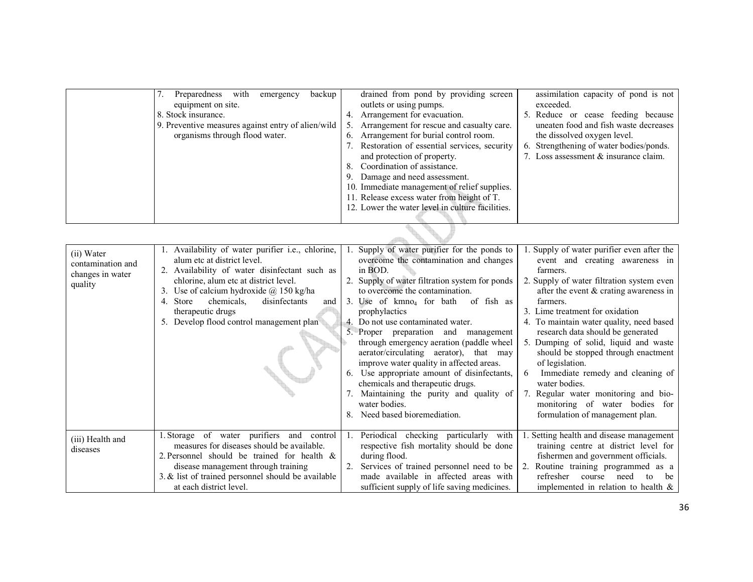| 7. Preparedness with<br>equipment on site.<br>8. Stock insurance.<br>9. Preventive measures against entry of alien/wild<br>organisms through flood water. | backup<br>emergency | 4.<br>5.<br>6.<br>8.<br>-9. | drained from pond by providing screen<br>outlets or using pumps.<br>Arrangement for evacuation.<br>Arrangement for rescue and casualty care.<br>Arrangement for burial control room.<br>Restoration of essential services, security<br>and protection of property.<br>Coordination of assistance.<br>Damage and need assessment.<br>10. Immediate management of relief supplies.<br>11. Release excess water from height of T.<br>12. Lower the water level in culture facilities. | assimilation capacity of pond is not<br>exceeded.<br>5. Reduce or cease feeding because<br>uneaten food and fish waste decreases<br>the dissolved oxygen level.<br>6. Strengthening of water bodies/ponds.<br>7. Loss assessment & insurance claim. |
|-----------------------------------------------------------------------------------------------------------------------------------------------------------|---------------------|-----------------------------|------------------------------------------------------------------------------------------------------------------------------------------------------------------------------------------------------------------------------------------------------------------------------------------------------------------------------------------------------------------------------------------------------------------------------------------------------------------------------------|-----------------------------------------------------------------------------------------------------------------------------------------------------------------------------------------------------------------------------------------------------|
|                                                                                                                                                           |                     |                             |                                                                                                                                                                                                                                                                                                                                                                                                                                                                                    |                                                                                                                                                                                                                                                     |

| (ii) Water<br>contamination and<br>changes in water<br>quality | 1. Availability of water purifier i.e., chlorine,<br>alum etc at district level.<br>2. Availability of water disinfectant such as<br>chlorine, alum etc at district level.<br>3. Use of calcium hydroxide $\omega$ 150 kg/ha<br>chemicals.<br>disinfectants<br>4. Store<br>and<br>therapeutic drugs<br>5. Develop flood control management plan | 3.<br>6. | Supply of water purifier for the ponds to<br>overcome the contamination and changes<br>in BOD.<br>2. Supply of water filtration system for ponds<br>to overcome the contamination.<br>Use of $kmno4$ for bath of fish as<br>prophylactics<br>4. Do not use contaminated water.<br>5. Proper preparation and management<br>through emergency aeration (paddle wheel)<br>aerator/circulating aerator), that may<br>improve water quality in affected areas.<br>Use appropriate amount of disinfectants,<br>chemicals and therapeutic drugs.<br>Maintaining the purity and quality of<br>water bodies.<br>Need based bioremediation. | 1. Supply of water purifier even after the<br>event and creating awareness in<br>farmers.<br>2. Supply of water filtration system even<br>after the event $\&$ crating awareness in<br>farmers.<br>3. Lime treatment for oxidation<br>4. To maintain water quality, need based<br>research data should be generated<br>5. Dumping of solid, liquid and waste<br>should be stopped through enactment<br>of legislation.<br>Immediate remedy and cleaning of<br>6<br>water bodies.<br>7. Regular water monitoring and bio-<br>monitoring of water bodies for<br>formulation of management plan. |
|----------------------------------------------------------------|-------------------------------------------------------------------------------------------------------------------------------------------------------------------------------------------------------------------------------------------------------------------------------------------------------------------------------------------------|----------|-----------------------------------------------------------------------------------------------------------------------------------------------------------------------------------------------------------------------------------------------------------------------------------------------------------------------------------------------------------------------------------------------------------------------------------------------------------------------------------------------------------------------------------------------------------------------------------------------------------------------------------|-----------------------------------------------------------------------------------------------------------------------------------------------------------------------------------------------------------------------------------------------------------------------------------------------------------------------------------------------------------------------------------------------------------------------------------------------------------------------------------------------------------------------------------------------------------------------------------------------|
| (iii) Health and<br>diseases                                   | 1. Storage of water purifiers and control<br>measures for diseases should be available.<br>2. Personnel should be trained for health $\&$<br>disease management through training<br>3. $&$ list of trained personnel should be available<br>at each district level.                                                                             | -1.      | Periodical checking particularly with<br>respective fish mortality should be done<br>during flood.<br>Services of trained personnel need to be<br>made available in affected areas with<br>sufficient supply of life saving medicines.                                                                                                                                                                                                                                                                                                                                                                                            | 1. Setting health and disease management<br>training centre at district level for<br>fishermen and government officials.<br>2. Routine training programmed as a<br>refresher<br>course<br>need<br>to<br>be<br>implemented in relation to health $\&$                                                                                                                                                                                                                                                                                                                                          |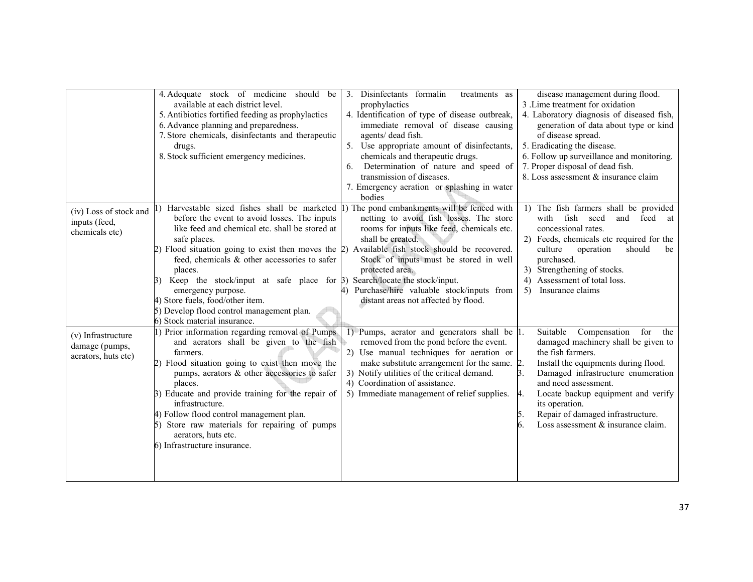|                                                             | 4. Adequate stock of medicine should be<br>available at each district level.<br>5. Antibiotics fortified feeding as prophylactics<br>6. Advance planning and preparedness.<br>7. Store chemicals, disinfectants and therapeutic<br>drugs.<br>8. Stock sufficient emergency medicines.                                                                                                                                                                                                                                                              | Disinfectants formalin<br>3 <sub>1</sub><br>treatments as<br>prophylactics<br>4. Identification of type of disease outbreak,<br>immediate removal of disease causing<br>agents/ dead fish.<br>5. Use appropriate amount of disinfectants,<br>chemicals and therapeutic drugs.                                                    | disease management during flood.<br>3. Lime treatment for oxidation<br>4. Laboratory diagnosis of diseased fish,<br>generation of data about type or kind<br>of disease spread.<br>5. Eradicating the disease.<br>6. Follow up surveillance and monitoring.                                                                                 |
|-------------------------------------------------------------|----------------------------------------------------------------------------------------------------------------------------------------------------------------------------------------------------------------------------------------------------------------------------------------------------------------------------------------------------------------------------------------------------------------------------------------------------------------------------------------------------------------------------------------------------|----------------------------------------------------------------------------------------------------------------------------------------------------------------------------------------------------------------------------------------------------------------------------------------------------------------------------------|---------------------------------------------------------------------------------------------------------------------------------------------------------------------------------------------------------------------------------------------------------------------------------------------------------------------------------------------|
|                                                             |                                                                                                                                                                                                                                                                                                                                                                                                                                                                                                                                                    | Determination of nature and speed of<br>6.<br>transmission of diseases.<br>7. Emergency aeration or splashing in water<br>bodies                                                                                                                                                                                                 | 7. Proper disposal of dead fish.<br>8. Loss assessment & insurance claim                                                                                                                                                                                                                                                                    |
| (iv) Loss of stock and<br>inputs (feed,<br>chemicals etc)   | Harvestable sized fishes shall be marketed<br>before the event to avoid losses. The inputs<br>like feed and chemical etc. shall be stored at<br>safe places.<br>2) Flood situation going to exist then moves the 2) Available fish stock should be recovered.<br>feed, chemicals & other accessories to safer<br>places.<br>Keep the stock/input at safe place for $\beta$ ) Search/locate the stock/input.<br>emergency purpose.<br>4) Store fuels, food/other item.<br>5) Develop flood control management plan.<br>6) Stock material insurance. | 1) The pond embankments will be fenced with<br>netting to avoid fish losses. The store<br>rooms for inputs like feed, chemicals etc.<br>shall be created.<br>Stock of inputs must be stored in well<br>protected area.<br>4) Purchase/hire valuable stock/inputs from<br>distant areas not affected by flood.                    | 1) The fish farmers shall be provided<br>fish seed<br>with<br>and feed at<br>concessional rates.<br>2) Feeds, chemicals etc required for the<br>should<br>operation<br>culture<br>be<br>purchased.<br>3) Strengthening of stocks.<br>4) Assessment of total loss.<br>5) Insurance claims                                                    |
| (v) Infrastructure<br>damage (pumps,<br>aerators, huts etc) | 1) Prior information regarding removal of Pumps<br>and aerators shall be given to the fish<br>farmers.<br>2) Flood situation going to exist then move the<br>pumps, aerators & other accessories to safer<br>places.<br>3) Educate and provide training for the repair of<br>infrastructure.<br>4) Follow flood control management plan.<br>5) Store raw materials for repairing of pumps<br>aerators, huts etc.<br>6) Infrastructure insurance.                                                                                                   | 1) Pumps, aerator and generators shall be  1.<br>removed from the pond before the event.<br>2) Use manual techniques for aeration or<br>make substitute arrangement for the same. 2.<br>3) Notify utilities of the critical demand.<br>3.<br>4) Coordination of assistance.<br>5) Immediate management of relief supplies.<br>4. | Compensation<br>Suitable<br>for<br>the<br>damaged machinery shall be given to<br>the fish farmers.<br>Install the equipments during flood.<br>Damaged infrastructure enumeration<br>and need assessment.<br>Locate backup equipment and verify<br>its operation.<br>Repair of damaged infrastructure.<br>Loss assessment & insurance claim. |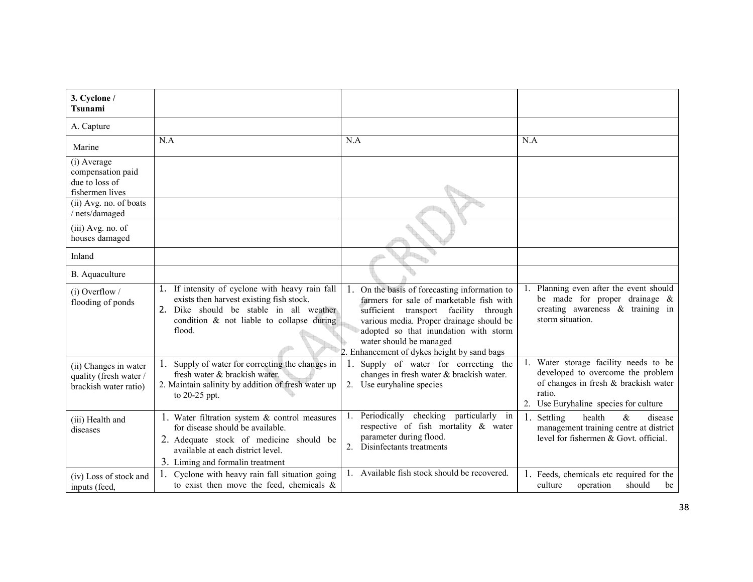| 3. Cyclone /<br>Tsunami                                                  |                                                                                                                                                                                                           |                                                                                                                                                                                                                                                                                                      |                                                                                                                                                                       |
|--------------------------------------------------------------------------|-----------------------------------------------------------------------------------------------------------------------------------------------------------------------------------------------------------|------------------------------------------------------------------------------------------------------------------------------------------------------------------------------------------------------------------------------------------------------------------------------------------------------|-----------------------------------------------------------------------------------------------------------------------------------------------------------------------|
| A. Capture                                                               |                                                                                                                                                                                                           |                                                                                                                                                                                                                                                                                                      |                                                                                                                                                                       |
| Marine                                                                   | N.A                                                                                                                                                                                                       | N.A                                                                                                                                                                                                                                                                                                  | N.A                                                                                                                                                                   |
| (i) Average<br>compensation paid<br>due to loss of<br>fishermen lives    |                                                                                                                                                                                                           |                                                                                                                                                                                                                                                                                                      |                                                                                                                                                                       |
| (ii) Avg. no. of boats<br>nets/damaged                                   |                                                                                                                                                                                                           |                                                                                                                                                                                                                                                                                                      |                                                                                                                                                                       |
| (iii) Avg. no. of<br>houses damaged                                      |                                                                                                                                                                                                           |                                                                                                                                                                                                                                                                                                      |                                                                                                                                                                       |
| Inland                                                                   |                                                                                                                                                                                                           |                                                                                                                                                                                                                                                                                                      |                                                                                                                                                                       |
| B. Aquaculture                                                           |                                                                                                                                                                                                           |                                                                                                                                                                                                                                                                                                      |                                                                                                                                                                       |
| $(i)$ Overflow /<br>flooding of ponds                                    | 1. If intensity of cyclone with heavy rain fall<br>exists then harvest existing fish stock.<br>2. Dike should be stable in all weather<br>condition & not liable to collapse during<br>flood.             | 1. On the basis of forecasting information to<br>farmers for sale of marketable fish with<br>sufficient transport facility<br>through<br>various media. Proper drainage should be<br>adopted so that inundation with storm<br>water should be managed<br>2. Enhancement of dykes height by sand bags | Planning even after the event should<br>1.<br>be made for proper drainage &<br>creating awareness $\&$ training in<br>storm situation.                                |
| (ii) Changes in water<br>quality (fresh water /<br>brackish water ratio) | 1. Supply of water for correcting the changes in<br>fresh water & brackish water.<br>2. Maintain salinity by addition of fresh water up<br>to 20-25 ppt.                                                  | 1. Supply of water for correcting the<br>changes in fresh water & brackish water.<br>2. Use euryhaline species                                                                                                                                                                                       | 1. Water storage facility needs to be<br>developed to overcome the problem<br>of changes in fresh & brackish water<br>ratio.<br>2. Use Euryhaline species for culture |
| (iii) Health and<br>diseases                                             | 1. Water filtration system $\&$ control measures<br>for disease should be available.<br>2. Adequate stock of medicine should be<br>available at each district level.<br>3. Liming and formal in treatment | Periodically checking particularly in<br>respective of fish mortality & water<br>parameter during flood.<br>2. Disinfectants treatments                                                                                                                                                              | Settling<br>health<br>$\&$<br>disease<br>1.<br>management training centre at district<br>level for fishermen & Govt. official.                                        |
| (iv) Loss of stock and<br>inputs (feed,                                  | Cyclone with heavy rain fall situation going<br>to exist then move the feed, chemicals $\&$                                                                                                               | 1. Available fish stock should be recovered.                                                                                                                                                                                                                                                         | 1. Feeds, chemicals etc required for the<br>operation<br>should<br>culture<br>be                                                                                      |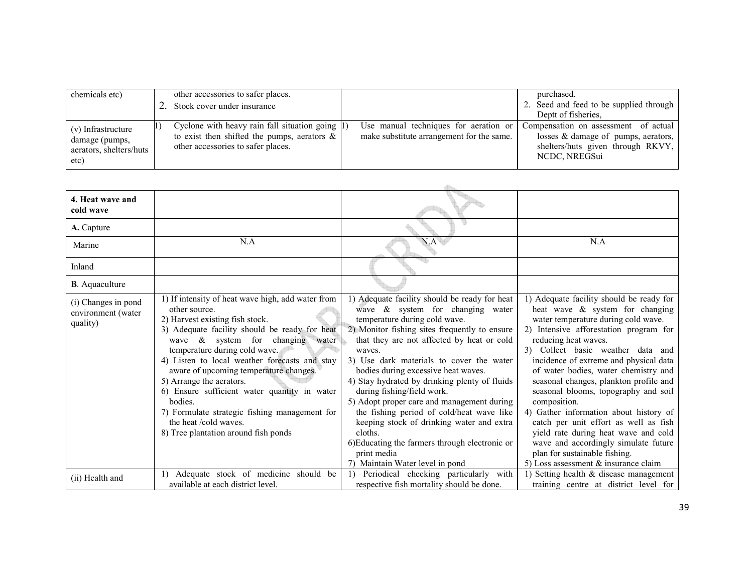| chemicals etc)                                                          | other accessories to safer places.<br>2. Stock cover under insurance                                                                             |                                                                                    | purchased.<br>2. Seed and feed to be supplied through<br>Deptt of fisheries.                                                      |
|-------------------------------------------------------------------------|--------------------------------------------------------------------------------------------------------------------------------------------------|------------------------------------------------------------------------------------|-----------------------------------------------------------------------------------------------------------------------------------|
| (v) Infrastructure<br>damage (pumps,<br>aerators, shelters/huts<br>etc) | Cyclone with heavy rain fall situation going $ 1\rangle$<br>to exist then shifted the pumps, aerators $\&$<br>other accessories to safer places. | Use manual techniques for aeration or<br>make substitute arrangement for the same. | Compensation on assessment of actual<br>losses & damage of pumps, aerators,<br>shelters/huts given through RKVY,<br>NCDC, NREGSui |

| 4. Heat wave and<br>cold wave                         |                                                                                                                                                                                                                                                                                                                                                                                                                                                                                                                                    |                                                                                                                                                                                                                                                                                                                                                                                                                                                                                                                                                                                                                                                         |                                                                                                                                                                                                                                                                                                                                                                                                                                                                                                                                                                                                                                                              |
|-------------------------------------------------------|------------------------------------------------------------------------------------------------------------------------------------------------------------------------------------------------------------------------------------------------------------------------------------------------------------------------------------------------------------------------------------------------------------------------------------------------------------------------------------------------------------------------------------|---------------------------------------------------------------------------------------------------------------------------------------------------------------------------------------------------------------------------------------------------------------------------------------------------------------------------------------------------------------------------------------------------------------------------------------------------------------------------------------------------------------------------------------------------------------------------------------------------------------------------------------------------------|--------------------------------------------------------------------------------------------------------------------------------------------------------------------------------------------------------------------------------------------------------------------------------------------------------------------------------------------------------------------------------------------------------------------------------------------------------------------------------------------------------------------------------------------------------------------------------------------------------------------------------------------------------------|
| A. Capture                                            |                                                                                                                                                                                                                                                                                                                                                                                                                                                                                                                                    |                                                                                                                                                                                                                                                                                                                                                                                                                                                                                                                                                                                                                                                         |                                                                                                                                                                                                                                                                                                                                                                                                                                                                                                                                                                                                                                                              |
| Marine                                                | N.A                                                                                                                                                                                                                                                                                                                                                                                                                                                                                                                                | N.A                                                                                                                                                                                                                                                                                                                                                                                                                                                                                                                                                                                                                                                     | N.A                                                                                                                                                                                                                                                                                                                                                                                                                                                                                                                                                                                                                                                          |
| Inland                                                |                                                                                                                                                                                                                                                                                                                                                                                                                                                                                                                                    |                                                                                                                                                                                                                                                                                                                                                                                                                                                                                                                                                                                                                                                         |                                                                                                                                                                                                                                                                                                                                                                                                                                                                                                                                                                                                                                                              |
| <b>B</b> . Aquaculture                                |                                                                                                                                                                                                                                                                                                                                                                                                                                                                                                                                    |                                                                                                                                                                                                                                                                                                                                                                                                                                                                                                                                                                                                                                                         |                                                                                                                                                                                                                                                                                                                                                                                                                                                                                                                                                                                                                                                              |
| (i) Changes in pond<br>environment (water<br>quality) | 1) If intensity of heat wave high, add water from<br>other source.<br>2) Harvest existing fish stock.<br>3) Adequate facility should be ready for heat<br>wave $\&$ system for changing water<br>temperature during cold wave.<br>4) Listen to local weather forecasts and stay<br>aware of upcoming temperature changes.<br>5) Arrange the aerators.<br>6) Ensure sufficient water quantity in water<br>bodies.<br>7) Formulate strategic fishing management for<br>the heat /cold waves.<br>8) Tree plantation around fish ponds | 1) Adequate facility should be ready for heat<br>wave $\&$ system for changing water<br>temperature during cold wave.<br>2) Monitor fishing sites frequently to ensure<br>that they are not affected by heat or cold<br>waves.<br>3) Use dark materials to cover the water<br>bodies during excessive heat waves.<br>4) Stay hydrated by drinking plenty of fluids<br>during fishing/field work.<br>5) Adopt proper care and management during<br>the fishing period of cold/heat wave like<br>keeping stock of drinking water and extra<br>cloths.<br>6) Educating the farmers through electronic or<br>print media<br>7) Maintain Water level in pond | 1) Adequate facility should be ready for<br>heat wave & system for changing<br>water temperature during cold wave.<br>2) Intensive afforestation program for<br>reducing heat waves.<br>3) Collect basic weather data and<br>incidence of extreme and physical data<br>of water bodies, water chemistry and<br>seasonal changes, plankton profile and<br>seasonal blooms, topography and soil<br>composition.<br>4) Gather information about history of<br>catch per unit effort as well as fish<br>yield rate during heat wave and cold<br>wave and accordingly simulate future<br>plan for sustainable fishing.<br>5) Loss assessment $\&$ insurance claim |
| (ii) Health and                                       | Adequate stock of medicine should be<br>$\left  \right $<br>available at each district level.                                                                                                                                                                                                                                                                                                                                                                                                                                      | 1) Periodical checking particularly with<br>respective fish mortality should be done.                                                                                                                                                                                                                                                                                                                                                                                                                                                                                                                                                                   | 1) Setting health $\&$ disease management<br>training centre at district level for                                                                                                                                                                                                                                                                                                                                                                                                                                                                                                                                                                           |